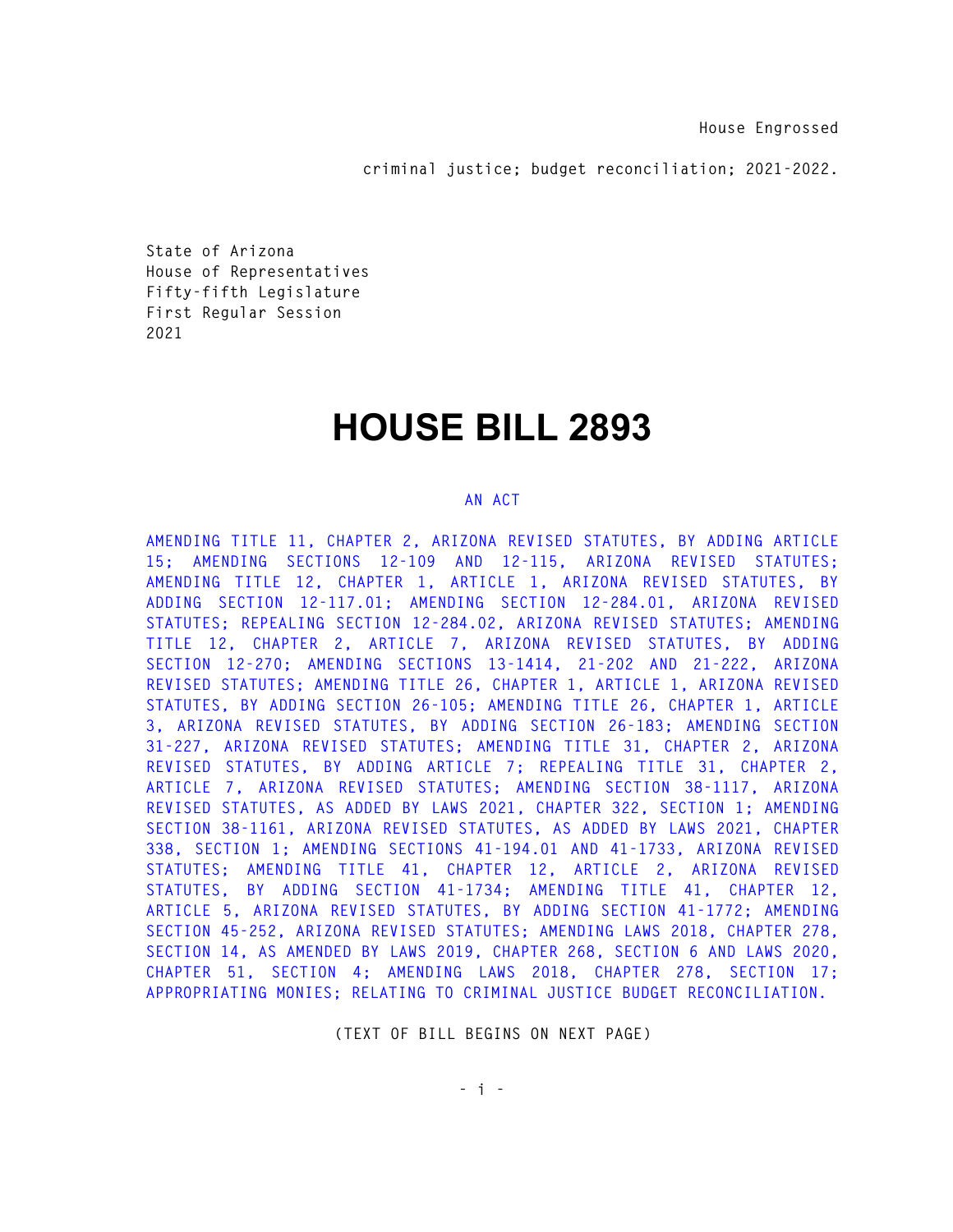**House Engrossed** 

**criminal justice; budget reconciliation; 2021-2022.** 

**State of Arizona House of Representatives Fifty-fifth Legislature First Regular Session 2021** 

## **HOUSE BILL 2893**

## **AN ACT**

**AMENDING TITLE 11, CHAPTER 2, ARIZONA REVISED STATUTES, BY ADDING ARTICLE 15; AMENDING SECTIONS 12-109 AND 12-115, ARIZONA REVISED STATUTES; AMENDING TITLE 12, CHAPTER 1, ARTICLE 1, ARIZONA REVISED STATUTES, BY ADDING SECTION 12-117.01; AMENDING SECTION 12-284.01, ARIZONA REVISED STATUTES; REPEALING SECTION 12-284.02, ARIZONA REVISED STATUTES; AMENDING TITLE 12, CHAPTER 2, ARTICLE 7, ARIZONA REVISED STATUTES, BY ADDING SECTION 12-270; AMENDING SECTIONS 13-1414, 21-202 AND 21-222, ARIZONA REVISED STATUTES; AMENDING TITLE 26, CHAPTER 1, ARTICLE 1, ARIZONA REVISED STATUTES, BY ADDING SECTION 26-105; AMENDING TITLE 26, CHAPTER 1, ARTICLE 3, ARIZONA REVISED STATUTES, BY ADDING SECTION 26-183; AMENDING SECTION 31-227, ARIZONA REVISED STATUTES; AMENDING TITLE 31, CHAPTER 2, ARIZONA REVISED STATUTES, BY ADDING ARTICLE 7; REPEALING TITLE 31, CHAPTER 2, ARTICLE 7, ARIZONA REVISED STATUTES; AMENDING SECTION 38-1117, ARIZONA REVISED STATUTES, AS ADDED BY LAWS 2021, CHAPTER 322, SECTION 1; AMENDING SECTION 38-1161, ARIZONA REVISED STATUTES, AS ADDED BY LAWS 2021, CHAPTER 338, SECTION 1; AMENDING SECTIONS 41-194.01 AND 41-1733, ARIZONA REVISED STATUTES; AMENDING TITLE 41, CHAPTER 12, ARTICLE 2, ARIZONA REVISED STATUTES, BY ADDING SECTION 41-1734; AMENDING TITLE 41, CHAPTER 12, ARTICLE 5, ARIZONA REVISED STATUTES, BY ADDING SECTION 41-1772; AMENDING SECTION 45-252, ARIZONA REVISED STATUTES; AMENDING LAWS 2018, CHAPTER 278, SECTION 14, AS AMENDED BY LAWS 2019, CHAPTER 268, SECTION 6 AND LAWS 2020, CHAPTER 51, SECTION 4; AMENDING LAWS 2018, CHAPTER 278, SECTION 17; APPROPRIATING MONIES; RELATING TO CRIMINAL JUSTICE BUDGET RECONCILIATION.** 

**(TEXT OF BILL BEGINS ON NEXT PAGE)**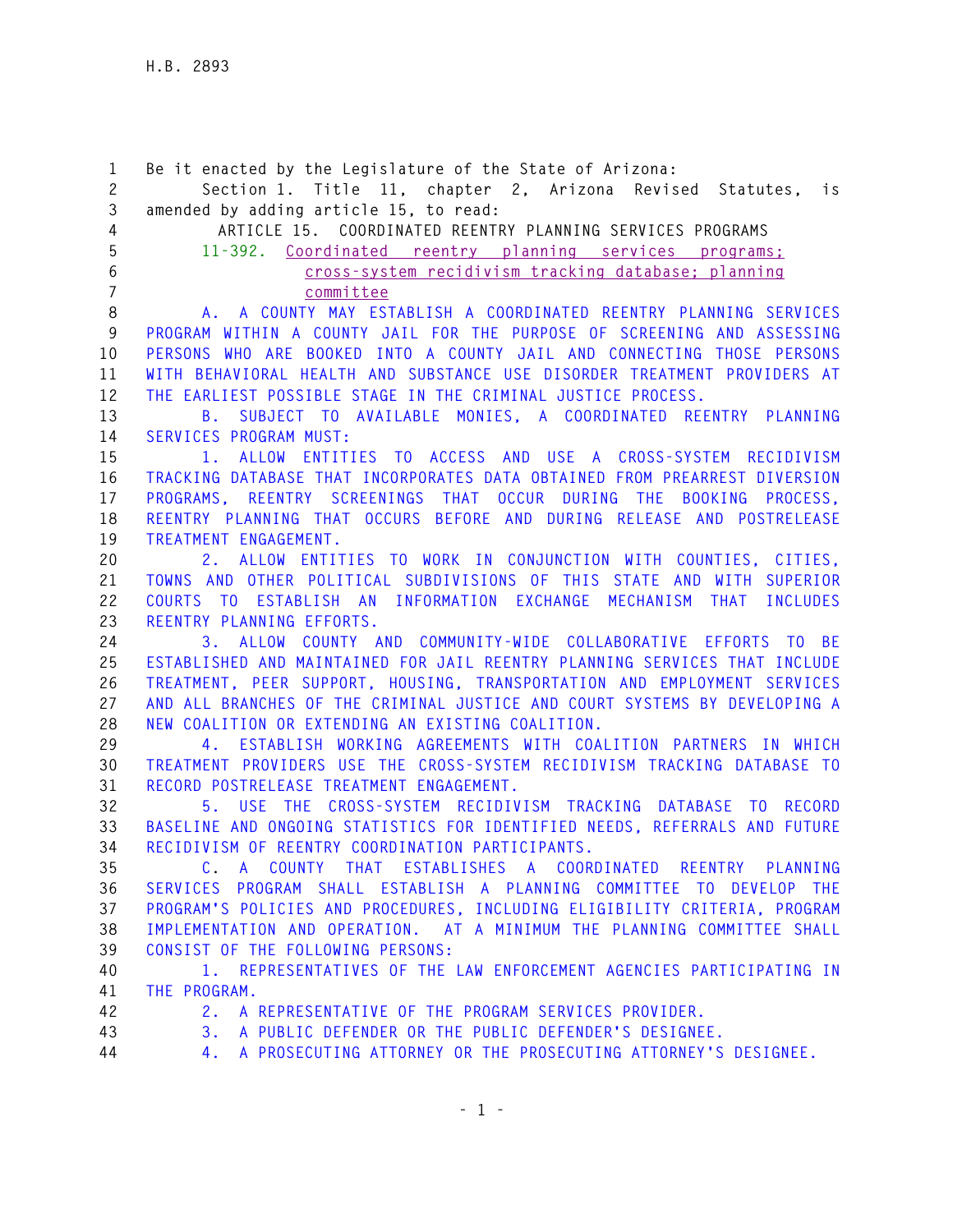**1 Be it enacted by the Legislature of the State of Arizona: 2 Section 1. Title 11, chapter 2, Arizona Revised Statutes, is 3 amended by adding article 15, to read: 4 ARTICLE 15. COORDINATED REENTRY PLANNING SERVICES PROGRAMS 5 11-392. Coordinated reentry planning services programs; 6 cross-system recidivism tracking database; planning 7 committee 8 A. A COUNTY MAY ESTABLISH A COORDINATED REENTRY PLANNING SERVICES 9 PROGRAM WITHIN A COUNTY JAIL FOR THE PURPOSE OF SCREENING AND ASSESSING 10 PERSONS WHO ARE BOOKED INTO A COUNTY JAIL AND CONNECTING THOSE PERSONS 11 WITH BEHAVIORAL HEALTH AND SUBSTANCE USE DISORDER TREATMENT PROVIDERS AT 12 THE EARLIEST POSSIBLE STAGE IN THE CRIMINAL JUSTICE PROCESS. 13 B. SUBJECT TO AVAILABLE MONIES, A COORDINATED REENTRY PLANNING 14 SERVICES PROGRAM MUST: 15 1. ALLOW ENTITIES TO ACCESS AND USE A CROSS-SYSTEM RECIDIVISM 16 TRACKING DATABASE THAT INCORPORATES DATA OBTAINED FROM PREARREST DIVERSION 17 PROGRAMS, REENTRY SCREENINGS THAT OCCUR DURING THE BOOKING PROCESS, 18 REENTRY PLANNING THAT OCCURS BEFORE AND DURING RELEASE AND POSTRELEASE 19 TREATMENT ENGAGEMENT. 20 2. ALLOW ENTITIES TO WORK IN CONJUNCTION WITH COUNTIES, CITIES, 21 TOWNS AND OTHER POLITICAL SUBDIVISIONS OF THIS STATE AND WITH SUPERIOR 22 COURTS TO ESTABLISH AN INFORMATION EXCHANGE MECHANISM THAT INCLUDES 23 REENTRY PLANNING EFFORTS. 24 3. ALLOW COUNTY AND COMMUNITY-WIDE COLLABORATIVE EFFORTS TO BE 25 ESTABLISHED AND MAINTAINED FOR JAIL REENTRY PLANNING SERVICES THAT INCLUDE 26 TREATMENT, PEER SUPPORT, HOUSING, TRANSPORTATION AND EMPLOYMENT SERVICES 27 AND ALL BRANCHES OF THE CRIMINAL JUSTICE AND COURT SYSTEMS BY DEVELOPING A 28 NEW COALITION OR EXTENDING AN EXISTING COALITION. 29 4. ESTABLISH WORKING AGREEMENTS WITH COALITION PARTNERS IN WHICH 30 TREATMENT PROVIDERS USE THE CROSS-SYSTEM RECIDIVISM TRACKING DATABASE TO 31 RECORD POSTRELEASE TREATMENT ENGAGEMENT. 32 5. USE THE CROSS-SYSTEM RECIDIVISM TRACKING DATABASE TO RECORD 33 BASELINE AND ONGOING STATISTICS FOR IDENTIFIED NEEDS, REFERRALS AND FUTURE 34 RECIDIVISM OF REENTRY COORDINATION PARTICIPANTS. 35 C. A COUNTY THAT ESTABLISHES A COORDINATED REENTRY PLANNING 36 SERVICES PROGRAM SHALL ESTABLISH A PLANNING COMMITTEE TO DEVELOP THE 37 PROGRAM'S POLICIES AND PROCEDURES, INCLUDING ELIGIBILITY CRITERIA, PROGRAM 38 IMPLEMENTATION AND OPERATION. AT A MINIMUM THE PLANNING COMMITTEE SHALL 39 CONSIST OF THE FOLLOWING PERSONS: 40 1. REPRESENTATIVES OF THE LAW ENFORCEMENT AGENCIES PARTICIPATING IN 41 THE PROGRAM. 42 2. A REPRESENTATIVE OF THE PROGRAM SERVICES PROVIDER. 43 3. A PUBLIC DEFENDER OR THE PUBLIC DEFENDER'S DESIGNEE. 44 4. A PROSECUTING ATTORNEY OR THE PROSECUTING ATTORNEY'S DESIGNEE.**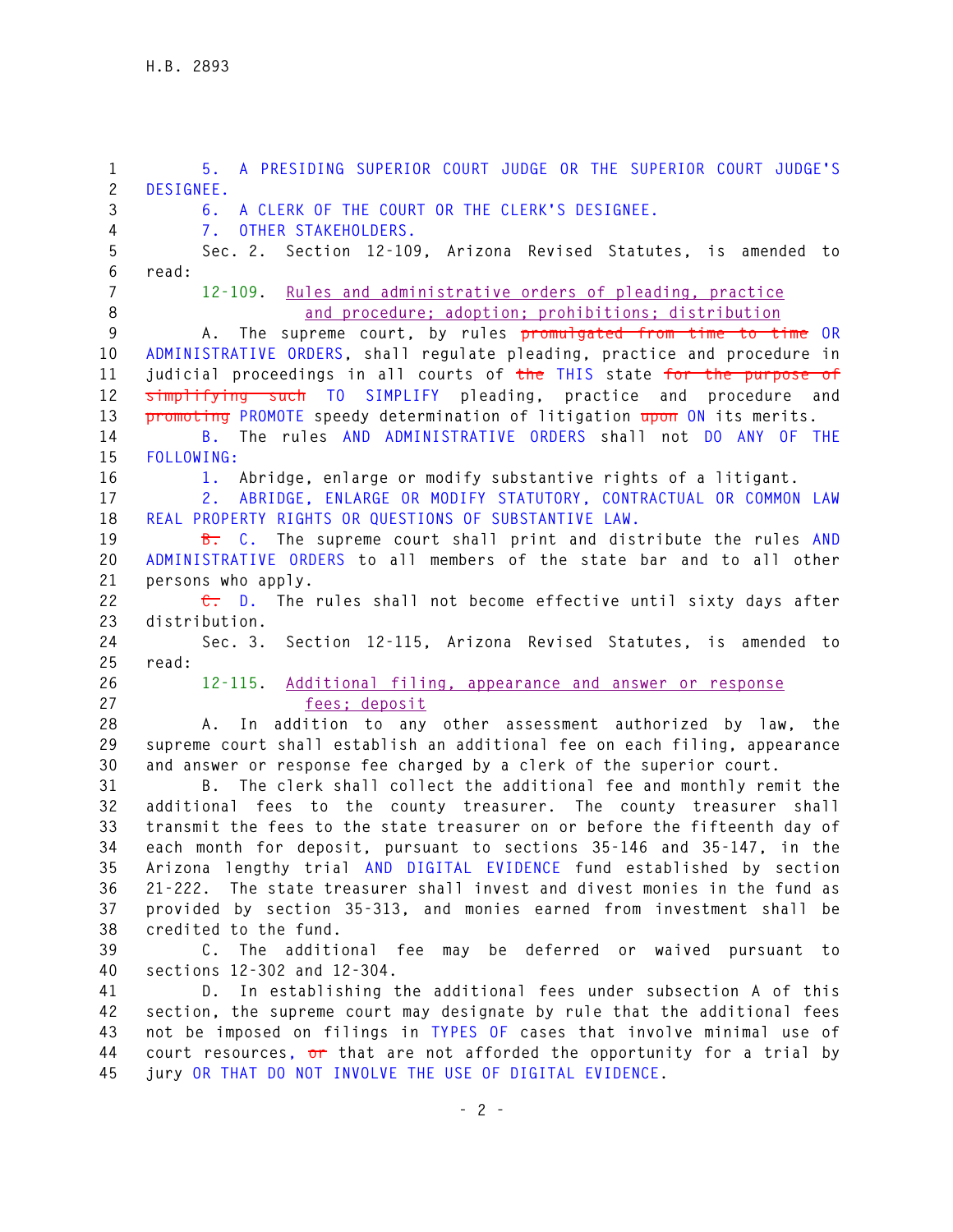**1 5. A PRESIDING SUPERIOR COURT JUDGE OR THE SUPERIOR COURT JUDGE'S 2 DESIGNEE. 3 6. A CLERK OF THE COURT OR THE CLERK'S DESIGNEE. 4 7. OTHER STAKEHOLDERS. 5 Sec. 2. Section 12-109, Arizona Revised Statutes, is amended to 6 read: 7 12-109. Rules and administrative orders of pleading, practice 8 and procedure; adoption; prohibitions; distribution 9 A. The supreme court, by rules promulgated from time to time OR 10 ADMINISTRATIVE ORDERS, shall regulate pleading, practice and procedure in 11 judicial proceedings in all courts of the THIS state for the purpose of 12 simplifying such TO SIMPLIFY pleading, practice and procedure and 13 promoting PROMOTE speedy determination of litigation upon ON its merits. 14 B. The rules AND ADMINISTRATIVE ORDERS shall not DO ANY OF THE 15 FOLLOWING: 16 1. Abridge, enlarge or modify substantive rights of a litigant. 17 2. ABRIDGE, ENLARGE OR MODIFY STATUTORY, CONTRACTUAL OR COMMON LAW 18 REAL PROPERTY RIGHTS OR QUESTIONS OF SUBSTANTIVE LAW. 19 B. C. The supreme court shall print and distribute the rules AND 20 ADMINISTRATIVE ORDERS to all members of the state bar and to all other 21 persons who apply. 22 C. D. The rules shall not become effective until sixty days after 23 distribution. 24 Sec. 3. Section 12-115, Arizona Revised Statutes, is amended to 25 read: 26 12-115. Additional filing, appearance and answer or response 27 fees; deposit 28 A. In addition to any other assessment authorized by law, the 29 supreme court shall establish an additional fee on each filing, appearance 30 and answer or response fee charged by a clerk of the superior court. 31 B. The clerk shall collect the additional fee and monthly remit the 32 additional fees to the county treasurer. The county treasurer shall 33 transmit the fees to the state treasurer on or before the fifteenth day of 34 each month for deposit, pursuant to sections 35-146 and 35-147, in the 35 Arizona lengthy trial AND DIGITAL EVIDENCE fund established by section 36 21-222. The state treasurer shall invest and divest monies in the fund as 37 provided by section 35-313, and monies earned from investment shall be 38 credited to the fund. 39 C. The additional fee may be deferred or waived pursuant to 40 sections 12-302 and 12-304. 41 D. In establishing the additional fees under subsection A of this 42 section, the supreme court may designate by rule that the additional fees 43 not be imposed on filings in TYPES OF cases that involve minimal use of 44 court resources, or that are not afforded the opportunity for a trial by 45 jury OR THAT DO NOT INVOLVE THE USE OF DIGITAL EVIDENCE.**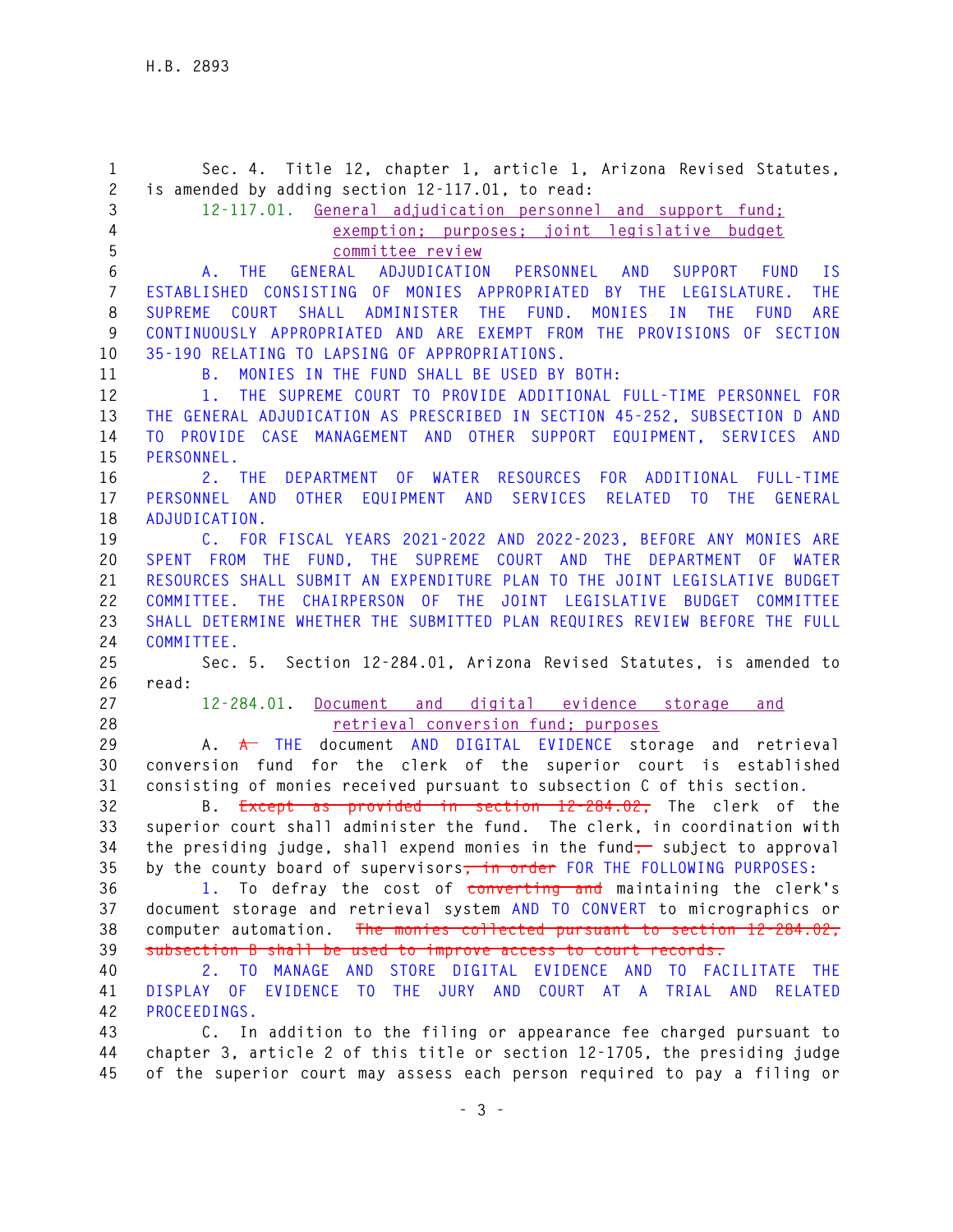**1 Sec. 4. Title 12, chapter 1, article 1, Arizona Revised Statutes, 2 is amended by adding section 12-117.01, to read: 3 12-117.01. General adjudication personnel and support fund; 4 exemption; purposes; joint legislative budget 5 committee review 6 A. THE GENERAL ADJUDICATION PERSONNEL AND SUPPORT FUND IS 7 ESTABLISHED CONSISTING OF MONIES APPROPRIATED BY THE LEGISLATURE. THE 8 SUPREME COURT SHALL ADMINISTER THE FUND. MONIES IN THE FUND ARE 9 CONTINUOUSLY APPROPRIATED AND ARE EXEMPT FROM THE PROVISIONS OF SECTION 10 35-190 RELATING TO LAPSING OF APPROPRIATIONS. 11 B. MONIES IN THE FUND SHALL BE USED BY BOTH: 12 1. THE SUPREME COURT TO PROVIDE ADDITIONAL FULL-TIME PERSONNEL FOR 13 THE GENERAL ADJUDICATION AS PRESCRIBED IN SECTION 45-252, SUBSECTION D AND 14 TO PROVIDE CASE MANAGEMENT AND OTHER SUPPORT EQUIPMENT, SERVICES AND 15 PERSONNEL. 16 2. THE DEPARTMENT OF WATER RESOURCES FOR ADDITIONAL FULL-TIME 17 PERSONNEL AND OTHER EQUIPMENT AND SERVICES RELATED TO THE GENERAL 18 ADJUDICATION. 19 C. FOR FISCAL YEARS 2021-2022 AND 2022-2023, BEFORE ANY MONIES ARE 20 SPENT FROM THE FUND, THE SUPREME COURT AND THE DEPARTMENT OF WATER 21 RESOURCES SHALL SUBMIT AN EXPENDITURE PLAN TO THE JOINT LEGISLATIVE BUDGET 22 COMMITTEE. THE CHAIRPERSON OF THE JOINT LEGISLATIVE BUDGET COMMITTEE 23 SHALL DETERMINE WHETHER THE SUBMITTED PLAN REQUIRES REVIEW BEFORE THE FULL 24 COMMITTEE. 25 Sec. 5. Section 12-284.01, Arizona Revised Statutes, is amended to 26 read: 27 12-284.01. Document and digital evidence storage and 28 retrieval conversion fund; purposes 29 A. A THE document AND DIGITAL EVIDENCE storage and retrieval 30 conversion fund for the clerk of the superior court is established 31 consisting of monies received pursuant to subsection C of this section. 32 B. Except as provided in section 12-284.02, The clerk of the 33 superior court shall administer the fund. The clerk, in coordination with**  34 the presiding judge, shall expend monies in the fund<sub>,</sub> subject to approval **35 by the county board of supervisors, in order FOR THE FOLLOWING PURPOSES: 36 1. To defray the cost of converting and maintaining the clerk's 37 document storage and retrieval system AND TO CONVERT to micrographics or 38 computer automation. The monies collected pursuant to section 12-284.02, 39 subsection B shall be used to improve access to court records. 40 2. TO MANAGE AND STORE DIGITAL EVIDENCE AND TO FACILITATE THE 41 DISPLAY OF EVIDENCE TO THE JURY AND COURT AT A TRIAL AND RELATED 42 PROCEEDINGS. 43 C. In addition to the filing or appearance fee charged pursuant to 44 chapter 3, article 2 of this title or section 12-1705, the presiding judge 45 of the superior court may assess each person required to pay a filing or**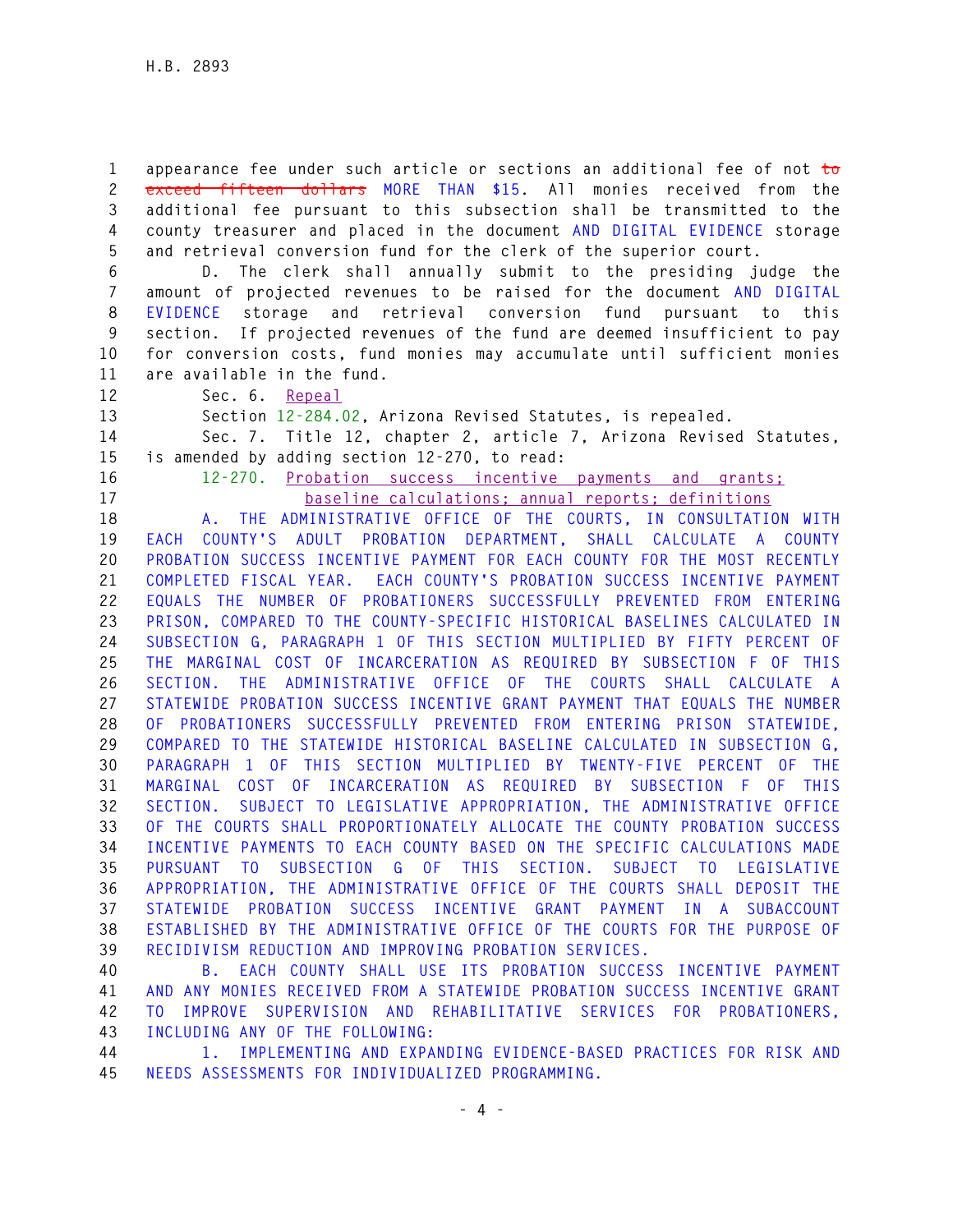**1 appearance fee under such article or sections an additional fee of not to 2 exceed fifteen dollars MORE THAN \$15. All monies received from the 3 additional fee pursuant to this subsection shall be transmitted to the 4 county treasurer and placed in the document AND DIGITAL EVIDENCE storage 5 and retrieval conversion fund for the clerk of the superior court.** 

**6 D. The clerk shall annually submit to the presiding judge the 7 amount of projected revenues to be raised for the document AND DIGITAL 8 EVIDENCE storage and retrieval conversion fund pursuant to this 9 section. If projected revenues of the fund are deemed insufficient to pay 10 for conversion costs, fund monies may accumulate until sufficient monies 11 are available in the fund.** 

**12 Sec. 6. Repeal**

**13 Section 12-284.02, Arizona Revised Statutes, is repealed.** 

**14 Sec. 7. Title 12, chapter 2, article 7, Arizona Revised Statutes, 15 is amended by adding section 12-270, to read:** 

**16 12-270. Probation success incentive payments and grants;** 

**17 baseline calculations; annual reports; definitions** 

**18 A. THE ADMINISTRATIVE OFFICE OF THE COURTS, IN CONSULTATION WITH 19 EACH COUNTY'S ADULT PROBATION DEPARTMENT, SHALL CALCULATE A COUNTY 20 PROBATION SUCCESS INCENTIVE PAYMENT FOR EACH COUNTY FOR THE MOST RECENTLY 21 COMPLETED FISCAL YEAR. EACH COUNTY'S PROBATION SUCCESS INCENTIVE PAYMENT 22 EQUALS THE NUMBER OF PROBATIONERS SUCCESSFULLY PREVENTED FROM ENTERING 23 PRISON, COMPARED TO THE COUNTY-SPECIFIC HISTORICAL BASELINES CALCULATED IN 24 SUBSECTION G, PARAGRAPH 1 OF THIS SECTION MULTIPLIED BY FIFTY PERCENT OF 25 THE MARGINAL COST OF INCARCERATION AS REQUIRED BY SUBSECTION F OF THIS 26 SECTION. THE ADMINISTRATIVE OFFICE OF THE COURTS SHALL CALCULATE A 27 STATEWIDE PROBATION SUCCESS INCENTIVE GRANT PAYMENT THAT EQUALS THE NUMBER 28 OF PROBATIONERS SUCCESSFULLY PREVENTED FROM ENTERING PRISON STATEWIDE, 29 COMPARED TO THE STATEWIDE HISTORICAL BASELINE CALCULATED IN SUBSECTION G, 30 PARAGRAPH 1 OF THIS SECTION MULTIPLIED BY TWENTY-FIVE PERCENT OF THE 31 MARGINAL COST OF INCARCERATION AS REQUIRED BY SUBSECTION F OF THIS 32 SECTION. SUBJECT TO LEGISLATIVE APPROPRIATION, THE ADMINISTRATIVE OFFICE 33 OF THE COURTS SHALL PROPORTIONATELY ALLOCATE THE COUNTY PROBATION SUCCESS 34 INCENTIVE PAYMENTS TO EACH COUNTY BASED ON THE SPECIFIC CALCULATIONS MADE 35 PURSUANT TO SUBSECTION G OF THIS SECTION. SUBJECT TO LEGISLATIVE 36 APPROPRIATION, THE ADMINISTRATIVE OFFICE OF THE COURTS SHALL DEPOSIT THE 37 STATEWIDE PROBATION SUCCESS INCENTIVE GRANT PAYMENT IN A SUBACCOUNT 38 ESTABLISHED BY THE ADMINISTRATIVE OFFICE OF THE COURTS FOR THE PURPOSE OF 39 RECIDIVISM REDUCTION AND IMPROVING PROBATION SERVICES.** 

**40 B. EACH COUNTY SHALL USE ITS PROBATION SUCCESS INCENTIVE PAYMENT 41 AND ANY MONIES RECEIVED FROM A STATEWIDE PROBATION SUCCESS INCENTIVE GRANT 42 TO IMPROVE SUPERVISION AND REHABILITATIVE SERVICES FOR PROBATIONERS, 43 INCLUDING ANY OF THE FOLLOWING:** 

**44 1. IMPLEMENTING AND EXPANDING EVIDENCE-BASED PRACTICES FOR RISK AND 45 NEEDS ASSESSMENTS FOR INDIVIDUALIZED PROGRAMMING.**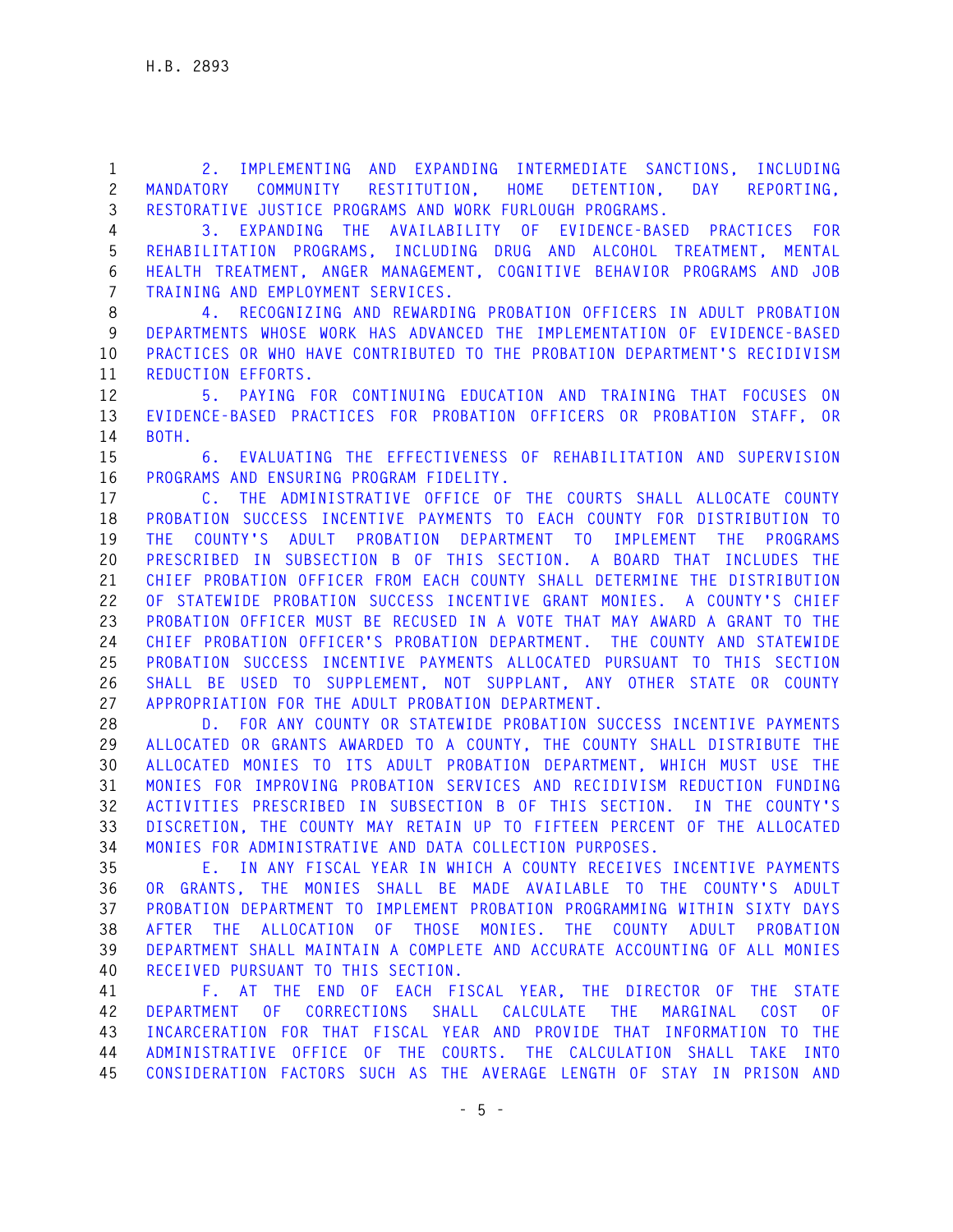**1 2. IMPLEMENTING AND EXPANDING INTERMEDIATE SANCTIONS, INCLUDING 2 MANDATORY COMMUNITY RESTITUTION, HOME DETENTION, DAY REPORTING, 3 RESTORATIVE JUSTICE PROGRAMS AND WORK FURLOUGH PROGRAMS.** 

**4 3. EXPANDING THE AVAILABILITY OF EVIDENCE-BASED PRACTICES FOR 5 REHABILITATION PROGRAMS, INCLUDING DRUG AND ALCOHOL TREATMENT, MENTAL 6 HEALTH TREATMENT, ANGER MANAGEMENT, COGNITIVE BEHAVIOR PROGRAMS AND JOB 7 TRAINING AND EMPLOYMENT SERVICES.** 

**8 4. RECOGNIZING AND REWARDING PROBATION OFFICERS IN ADULT PROBATION 9 DEPARTMENTS WHOSE WORK HAS ADVANCED THE IMPLEMENTATION OF EVIDENCE-BASED 10 PRACTICES OR WHO HAVE CONTRIBUTED TO THE PROBATION DEPARTMENT'S RECIDIVISM 11 REDUCTION EFFORTS.** 

**12 5. PAYING FOR CONTINUING EDUCATION AND TRAINING THAT FOCUSES ON 13 EVIDENCE-BASED PRACTICES FOR PROBATION OFFICERS OR PROBATION STAFF, OR 14 BOTH.** 

**15 6. EVALUATING THE EFFECTIVENESS OF REHABILITATION AND SUPERVISION 16 PROGRAMS AND ENSURING PROGRAM FIDELITY.** 

**17 C. THE ADMINISTRATIVE OFFICE OF THE COURTS SHALL ALLOCATE COUNTY 18 PROBATION SUCCESS INCENTIVE PAYMENTS TO EACH COUNTY FOR DISTRIBUTION TO 19 THE COUNTY'S ADULT PROBATION DEPARTMENT TO IMPLEMENT THE PROGRAMS 20 PRESCRIBED IN SUBSECTION B OF THIS SECTION. A BOARD THAT INCLUDES THE 21 CHIEF PROBATION OFFICER FROM EACH COUNTY SHALL DETERMINE THE DISTRIBUTION 22 OF STATEWIDE PROBATION SUCCESS INCENTIVE GRANT MONIES. A COUNTY'S CHIEF 23 PROBATION OFFICER MUST BE RECUSED IN A VOTE THAT MAY AWARD A GRANT TO THE 24 CHIEF PROBATION OFFICER'S PROBATION DEPARTMENT. THE COUNTY AND STATEWIDE 25 PROBATION SUCCESS INCENTIVE PAYMENTS ALLOCATED PURSUANT TO THIS SECTION 26 SHALL BE USED TO SUPPLEMENT, NOT SUPPLANT, ANY OTHER STATE OR COUNTY 27 APPROPRIATION FOR THE ADULT PROBATION DEPARTMENT.** 

**28 D. FOR ANY COUNTY OR STATEWIDE PROBATION SUCCESS INCENTIVE PAYMENTS 29 ALLOCATED OR GRANTS AWARDED TO A COUNTY, THE COUNTY SHALL DISTRIBUTE THE 30 ALLOCATED MONIES TO ITS ADULT PROBATION DEPARTMENT, WHICH MUST USE THE 31 MONIES FOR IMPROVING PROBATION SERVICES AND RECIDIVISM REDUCTION FUNDING 32 ACTIVITIES PRESCRIBED IN SUBSECTION B OF THIS SECTION. IN THE COUNTY'S 33 DISCRETION, THE COUNTY MAY RETAIN UP TO FIFTEEN PERCENT OF THE ALLOCATED 34 MONIES FOR ADMINISTRATIVE AND DATA COLLECTION PURPOSES.** 

**35 E. IN ANY FISCAL YEAR IN WHICH A COUNTY RECEIVES INCENTIVE PAYMENTS 36 OR GRANTS, THE MONIES SHALL BE MADE AVAILABLE TO THE COUNTY'S ADULT 37 PROBATION DEPARTMENT TO IMPLEMENT PROBATION PROGRAMMING WITHIN SIXTY DAYS 38 AFTER THE ALLOCATION OF THOSE MONIES. THE COUNTY ADULT PROBATION 39 DEPARTMENT SHALL MAINTAIN A COMPLETE AND ACCURATE ACCOUNTING OF ALL MONIES 40 RECEIVED PURSUANT TO THIS SECTION.** 

**41 F. AT THE END OF EACH FISCAL YEAR, THE DIRECTOR OF THE STATE 42 DEPARTMENT OF CORRECTIONS SHALL CALCULATE THE MARGINAL COST OF 43 INCARCERATION FOR THAT FISCAL YEAR AND PROVIDE THAT INFORMATION TO THE 44 ADMINISTRATIVE OFFICE OF THE COURTS. THE CALCULATION SHALL TAKE INTO 45 CONSIDERATION FACTORS SUCH AS THE AVERAGE LENGTH OF STAY IN PRISON AND**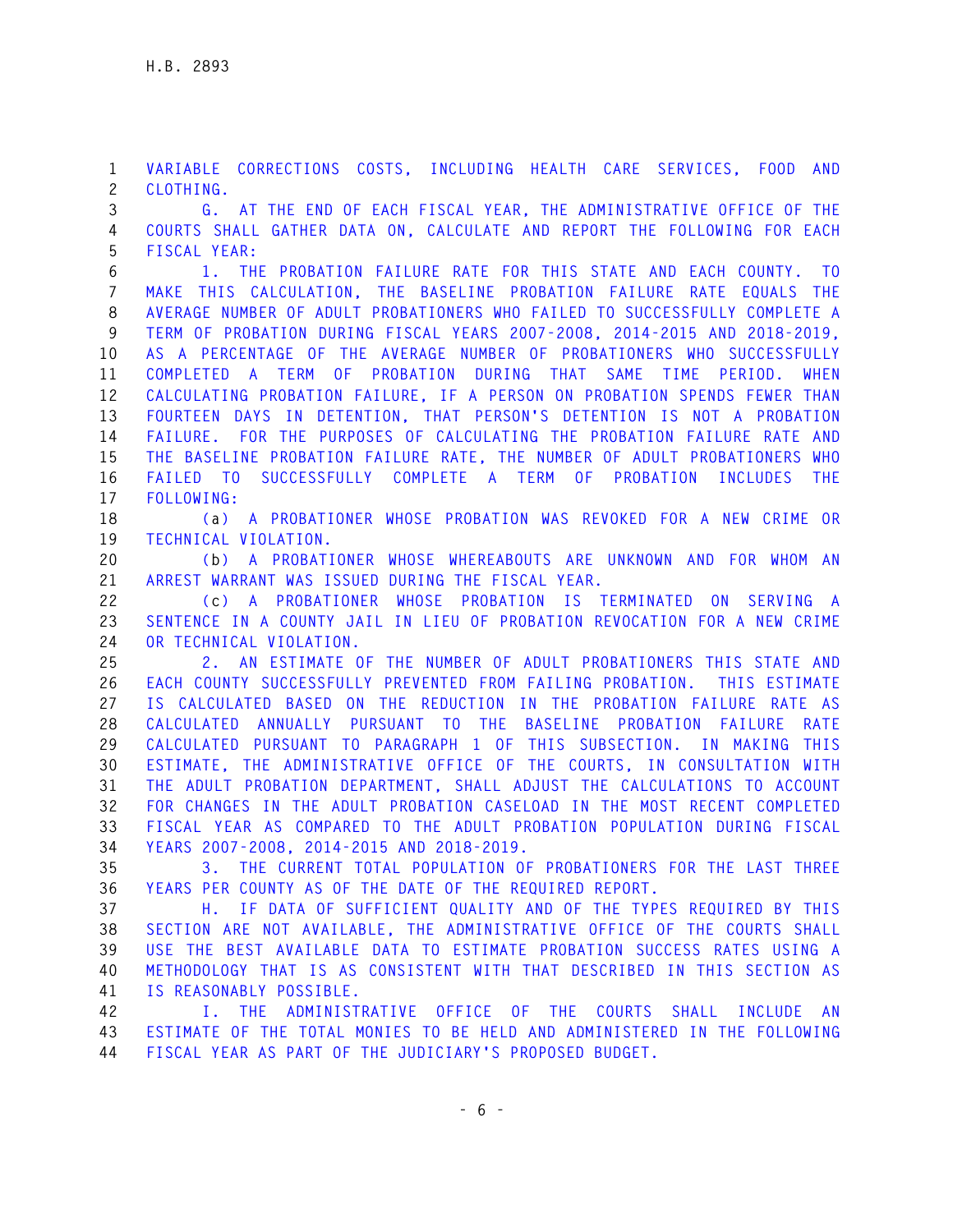**1 VARIABLE CORRECTIONS COSTS, INCLUDING HEALTH CARE SERVICES, FOOD AND 2 CLOTHING. 3 G. AT THE END OF EACH FISCAL YEAR, THE ADMINISTRATIVE OFFICE OF THE 4 COURTS SHALL GATHER DATA ON, CALCULATE AND REPORT THE FOLLOWING FOR EACH 5 FISCAL YEAR: 6 1. THE PROBATION FAILURE RATE FOR THIS STATE AND EACH COUNTY. TO 7 MAKE THIS CALCULATION, THE BASELINE PROBATION FAILURE RATE EQUALS THE 8 AVERAGE NUMBER OF ADULT PROBATIONERS WHO FAILED TO SUCCESSFULLY COMPLETE A 9 TERM OF PROBATION DURING FISCAL YEARS 2007-2008, 2014-2015 AND 2018-2019, 10 AS A PERCENTAGE OF THE AVERAGE NUMBER OF PROBATIONERS WHO SUCCESSFULLY 11 COMPLETED A TERM OF PROBATION DURING THAT SAME TIME PERIOD. WHEN 12 CALCULATING PROBATION FAILURE, IF A PERSON ON PROBATION SPENDS FEWER THAN 13 FOURTEEN DAYS IN DETENTION, THAT PERSON'S DETENTION IS NOT A PROBATION 14 FAILURE. FOR THE PURPOSES OF CALCULATING THE PROBATION FAILURE RATE AND 15 THE BASELINE PROBATION FAILURE RATE, THE NUMBER OF ADULT PROBATIONERS WHO 16 FAILED TO SUCCESSFULLY COMPLETE A TERM OF PROBATION INCLUDES THE 17 FOLLOWING: 18 (a) A PROBATIONER WHOSE PROBATION WAS REVOKED FOR A NEW CRIME OR 19 TECHNICAL VIOLATION. 20 (b) A PROBATIONER WHOSE WHEREABOUTS ARE UNKNOWN AND FOR WHOM AN 21 ARREST WARRANT WAS ISSUED DURING THE FISCAL YEAR. 22 (c) A PROBATIONER WHOSE PROBATION IS TERMINATED ON SERVING A 23 SENTENCE IN A COUNTY JAIL IN LIEU OF PROBATION REVOCATION FOR A NEW CRIME 24 OR TECHNICAL VIOLATION. 25 2. AN ESTIMATE OF THE NUMBER OF ADULT PROBATIONERS THIS STATE AND 26 EACH COUNTY SUCCESSFULLY PREVENTED FROM FAILING PROBATION. THIS ESTIMATE 27 IS CALCULATED BASED ON THE REDUCTION IN THE PROBATION FAILURE RATE AS 28 CALCULATED ANNUALLY PURSUANT TO THE BASELINE PROBATION FAILURE RATE 29 CALCULATED PURSUANT TO PARAGRAPH 1 OF THIS SUBSECTION. IN MAKING THIS 30 ESTIMATE, THE ADMINISTRATIVE OFFICE OF THE COURTS, IN CONSULTATION WITH 31 THE ADULT PROBATION DEPARTMENT, SHALL ADJUST THE CALCULATIONS TO ACCOUNT 32 FOR CHANGES IN THE ADULT PROBATION CASELOAD IN THE MOST RECENT COMPLETED 33 FISCAL YEAR AS COMPARED TO THE ADULT PROBATION POPULATION DURING FISCAL 34 YEARS 2007-2008, 2014-2015 AND 2018-2019. 35 3. THE CURRENT TOTAL POPULATION OF PROBATIONERS FOR THE LAST THREE 36 YEARS PER COUNTY AS OF THE DATE OF THE REQUIRED REPORT. 37 H. IF DATA OF SUFFICIENT QUALITY AND OF THE TYPES REQUIRED BY THIS 38 SECTION ARE NOT AVAILABLE, THE ADMINISTRATIVE OFFICE OF THE COURTS SHALL 39 USE THE BEST AVAILABLE DATA TO ESTIMATE PROBATION SUCCESS RATES USING A 40 METHODOLOGY THAT IS AS CONSISTENT WITH THAT DESCRIBED IN THIS SECTION AS 41 IS REASONABLY POSSIBLE.** 

**42 I. THE ADMINISTRATIVE OFFICE OF THE COURTS SHALL INCLUDE AN 43 ESTIMATE OF THE TOTAL MONIES TO BE HELD AND ADMINISTERED IN THE FOLLOWING 44 FISCAL YEAR AS PART OF THE JUDICIARY'S PROPOSED BUDGET.**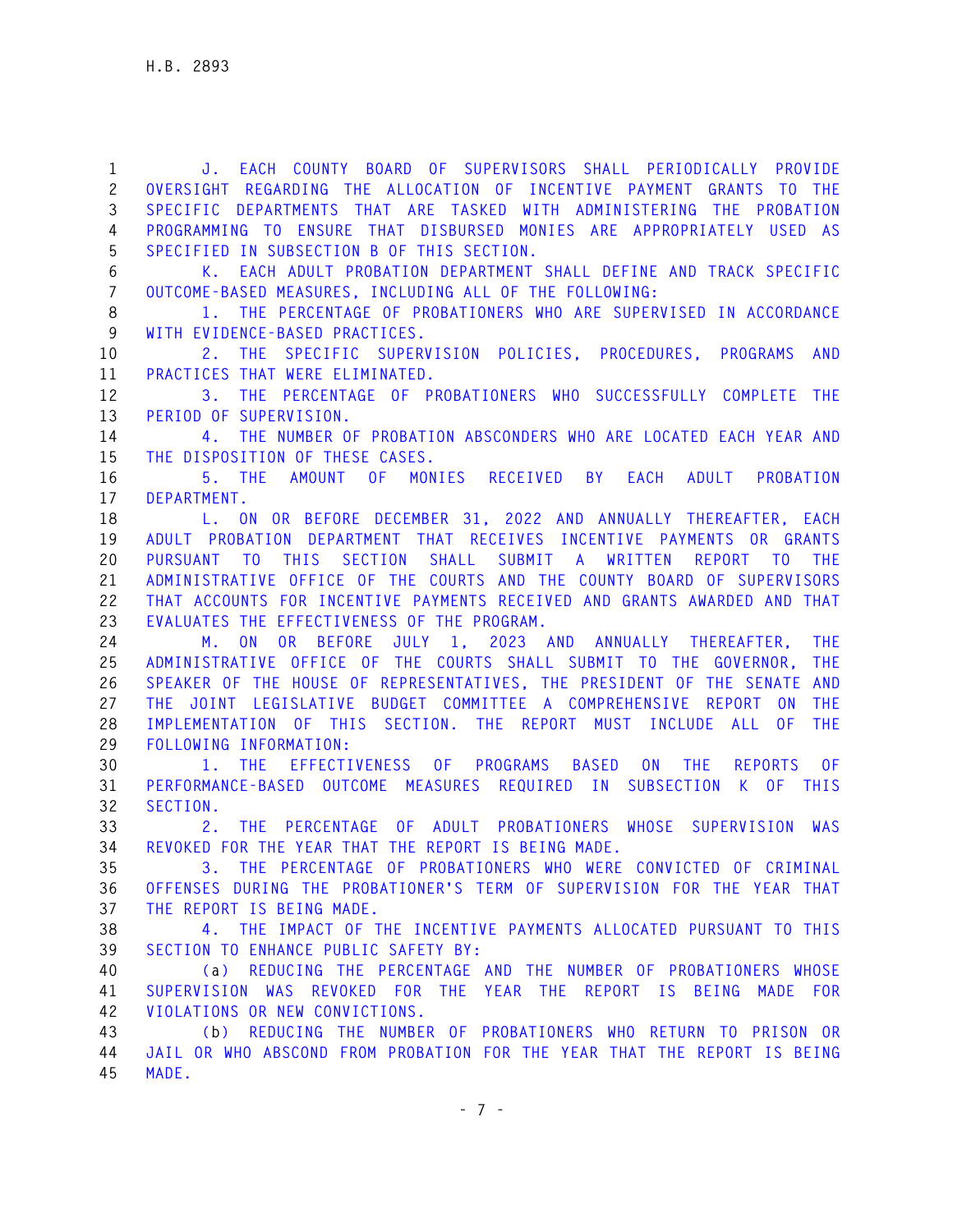**1 J. EACH COUNTY BOARD OF SUPERVISORS SHALL PERIODICALLY PROVIDE 2 OVERSIGHT REGARDING THE ALLOCATION OF INCENTIVE PAYMENT GRANTS TO THE 3 SPECIFIC DEPARTMENTS THAT ARE TASKED WITH ADMINISTERING THE PROBATION 4 PROGRAMMING TO ENSURE THAT DISBURSED MONIES ARE APPROPRIATELY USED AS 5 SPECIFIED IN SUBSECTION B OF THIS SECTION.** 

**6 K. EACH ADULT PROBATION DEPARTMENT SHALL DEFINE AND TRACK SPECIFIC 7 OUTCOME-BASED MEASURES, INCLUDING ALL OF THE FOLLOWING:** 

**8 1. THE PERCENTAGE OF PROBATIONERS WHO ARE SUPERVISED IN ACCORDANCE 9 WITH EVIDENCE-BASED PRACTICES.** 

**10 2. THE SPECIFIC SUPERVISION POLICIES, PROCEDURES, PROGRAMS AND 11 PRACTICES THAT WERE ELIMINATED.** 

**12 3. THE PERCENTAGE OF PROBATIONERS WHO SUCCESSFULLY COMPLETE THE 13 PERIOD OF SUPERVISION.** 

**14 4. THE NUMBER OF PROBATION ABSCONDERS WHO ARE LOCATED EACH YEAR AND 15 THE DISPOSITION OF THESE CASES.** 

**16 5. THE AMOUNT OF MONIES RECEIVED BY EACH ADULT PROBATION 17 DEPARTMENT.** 

**18 L. ON OR BEFORE DECEMBER 31, 2022 AND ANNUALLY THEREAFTER, EACH 19 ADULT PROBATION DEPARTMENT THAT RECEIVES INCENTIVE PAYMENTS OR GRANTS 20 PURSUANT TO THIS SECTION SHALL SUBMIT A WRITTEN REPORT TO THE 21 ADMINISTRATIVE OFFICE OF THE COURTS AND THE COUNTY BOARD OF SUPERVISORS 22 THAT ACCOUNTS FOR INCENTIVE PAYMENTS RECEIVED AND GRANTS AWARDED AND THAT 23 EVALUATES THE EFFECTIVENESS OF THE PROGRAM.** 

**24 M. ON OR BEFORE JULY 1, 2023 AND ANNUALLY THEREAFTER, THE 25 ADMINISTRATIVE OFFICE OF THE COURTS SHALL SUBMIT TO THE GOVERNOR, THE 26 SPEAKER OF THE HOUSE OF REPRESENTATIVES, THE PRESIDENT OF THE SENATE AND 27 THE JOINT LEGISLATIVE BUDGET COMMITTEE A COMPREHENSIVE REPORT ON THE 28 IMPLEMENTATION OF THIS SECTION. THE REPORT MUST INCLUDE ALL OF THE 29 FOLLOWING INFORMATION:** 

**30 1. THE EFFECTIVENESS OF PROGRAMS BASED ON THE REPORTS OF 31 PERFORMANCE-BASED OUTCOME MEASURES REQUIRED IN SUBSECTION K OF THIS 32 SECTION.** 

**33 2. THE PERCENTAGE OF ADULT PROBATIONERS WHOSE SUPERVISION WAS 34 REVOKED FOR THE YEAR THAT THE REPORT IS BEING MADE.** 

**35 3. THE PERCENTAGE OF PROBATIONERS WHO WERE CONVICTED OF CRIMINAL 36 OFFENSES DURING THE PROBATIONER'S TERM OF SUPERVISION FOR THE YEAR THAT 37 THE REPORT IS BEING MADE.** 

**38 4. THE IMPACT OF THE INCENTIVE PAYMENTS ALLOCATED PURSUANT TO THIS 39 SECTION TO ENHANCE PUBLIC SAFETY BY:** 

**40 (a) REDUCING THE PERCENTAGE AND THE NUMBER OF PROBATIONERS WHOSE 41 SUPERVISION WAS REVOKED FOR THE YEAR THE REPORT IS BEING MADE FOR 42 VIOLATIONS OR NEW CONVICTIONS.** 

**43 (b) REDUCING THE NUMBER OF PROBATIONERS WHO RETURN TO PRISON OR 44 JAIL OR WHO ABSCOND FROM PROBATION FOR THE YEAR THAT THE REPORT IS BEING 45 MADE.**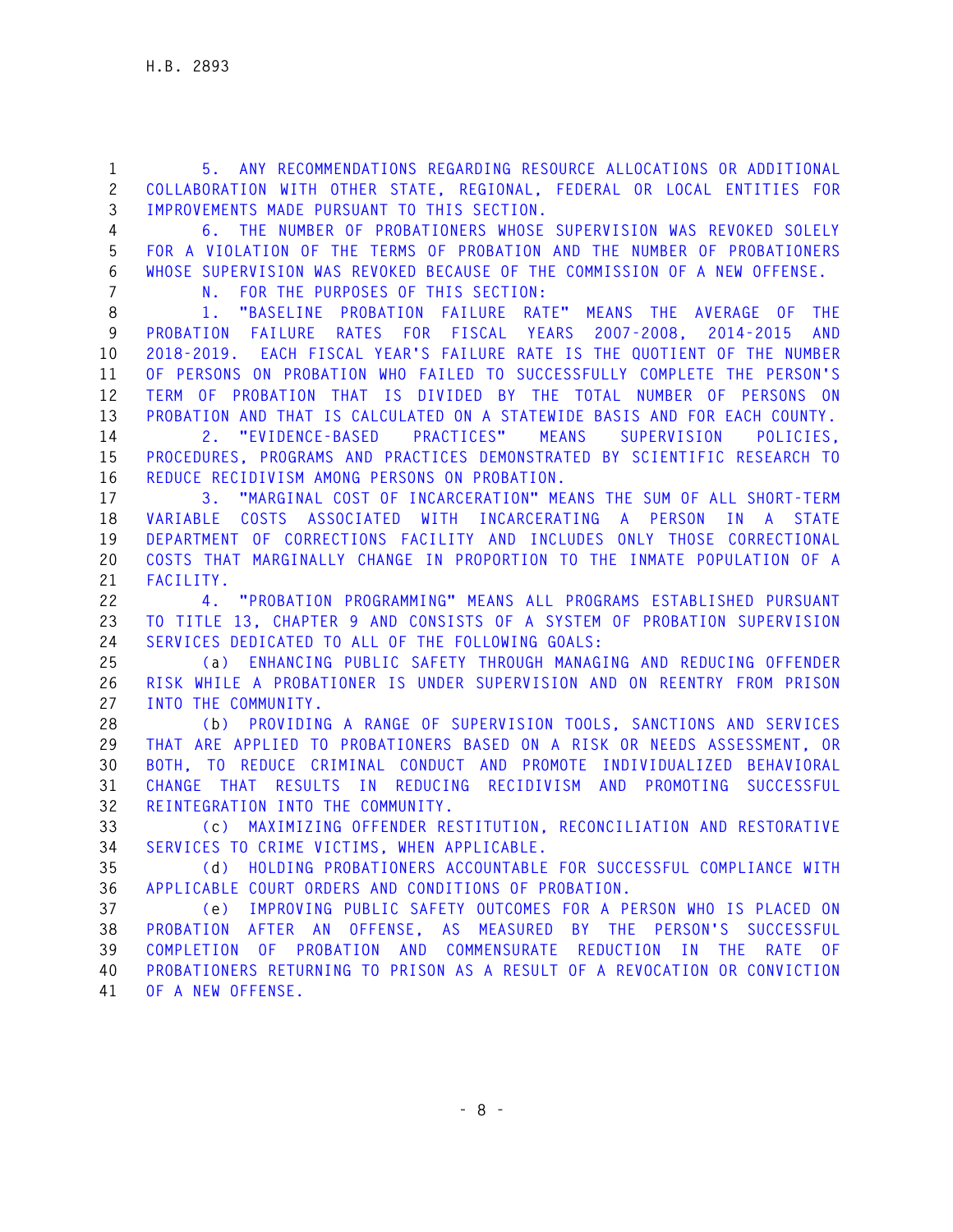**1 5. ANY RECOMMENDATIONS REGARDING RESOURCE ALLOCATIONS OR ADDITIONAL 2 COLLABORATION WITH OTHER STATE, REGIONAL, FEDERAL OR LOCAL ENTITIES FOR 3 IMPROVEMENTS MADE PURSUANT TO THIS SECTION.** 

**4 6. THE NUMBER OF PROBATIONERS WHOSE SUPERVISION WAS REVOKED SOLELY 5 FOR A VIOLATION OF THE TERMS OF PROBATION AND THE NUMBER OF PROBATIONERS 6 WHOSE SUPERVISION WAS REVOKED BECAUSE OF THE COMMISSION OF A NEW OFFENSE.** 

**7 N. FOR THE PURPOSES OF THIS SECTION:** 

**8 1. "BASELINE PROBATION FAILURE RATE" MEANS THE AVERAGE OF THE 9 PROBATION FAILURE RATES FOR FISCAL YEARS 2007-2008, 2014-2015 AND 10 2018-2019. EACH FISCAL YEAR'S FAILURE RATE IS THE QUOTIENT OF THE NUMBER 11 OF PERSONS ON PROBATION WHO FAILED TO SUCCESSFULLY COMPLETE THE PERSON'S 12 TERM OF PROBATION THAT IS DIVIDED BY THE TOTAL NUMBER OF PERSONS ON 13 PROBATION AND THAT IS CALCULATED ON A STATEWIDE BASIS AND FOR EACH COUNTY.** 

**14 2. "EVIDENCE-BASED PRACTICES" MEANS SUPERVISION POLICIES, 15 PROCEDURES, PROGRAMS AND PRACTICES DEMONSTRATED BY SCIENTIFIC RESEARCH TO 16 REDUCE RECIDIVISM AMONG PERSONS ON PROBATION.** 

**17 3. "MARGINAL COST OF INCARCERATION" MEANS THE SUM OF ALL SHORT-TERM 18 VARIABLE COSTS ASSOCIATED WITH INCARCERATING A PERSON IN A STATE 19 DEPARTMENT OF CORRECTIONS FACILITY AND INCLUDES ONLY THOSE CORRECTIONAL 20 COSTS THAT MARGINALLY CHANGE IN PROPORTION TO THE INMATE POPULATION OF A 21 FACILITY.** 

**22 4. "PROBATION PROGRAMMING" MEANS ALL PROGRAMS ESTABLISHED PURSUANT 23 TO TITLE 13, CHAPTER 9 AND CONSISTS OF A SYSTEM OF PROBATION SUPERVISION 24 SERVICES DEDICATED TO ALL OF THE FOLLOWING GOALS:** 

**25 (a) ENHANCING PUBLIC SAFETY THROUGH MANAGING AND REDUCING OFFENDER 26 RISK WHILE A PROBATIONER IS UNDER SUPERVISION AND ON REENTRY FROM PRISON 27 INTO THE COMMUNITY.** 

**28 (b) PROVIDING A RANGE OF SUPERVISION TOOLS, SANCTIONS AND SERVICES 29 THAT ARE APPLIED TO PROBATIONERS BASED ON A RISK OR NEEDS ASSESSMENT, OR 30 BOTH, TO REDUCE CRIMINAL CONDUCT AND PROMOTE INDIVIDUALIZED BEHAVIORAL 31 CHANGE THAT RESULTS IN REDUCING RECIDIVISM AND PROMOTING SUCCESSFUL 32 REINTEGRATION INTO THE COMMUNITY.** 

**33 (c) MAXIMIZING OFFENDER RESTITUTION, RECONCILIATION AND RESTORATIVE 34 SERVICES TO CRIME VICTIMS, WHEN APPLICABLE.** 

**35 (d) HOLDING PROBATIONERS ACCOUNTABLE FOR SUCCESSFUL COMPLIANCE WITH 36 APPLICABLE COURT ORDERS AND CONDITIONS OF PROBATION.** 

**37 (e) IMPROVING PUBLIC SAFETY OUTCOMES FOR A PERSON WHO IS PLACED ON 38 PROBATION AFTER AN OFFENSE, AS MEASURED BY THE PERSON'S SUCCESSFUL 39 COMPLETION OF PROBATION AND COMMENSURATE REDUCTION IN THE RATE OF 40 PROBATIONERS RETURNING TO PRISON AS A RESULT OF A REVOCATION OR CONVICTION 41 OF A NEW OFFENSE.**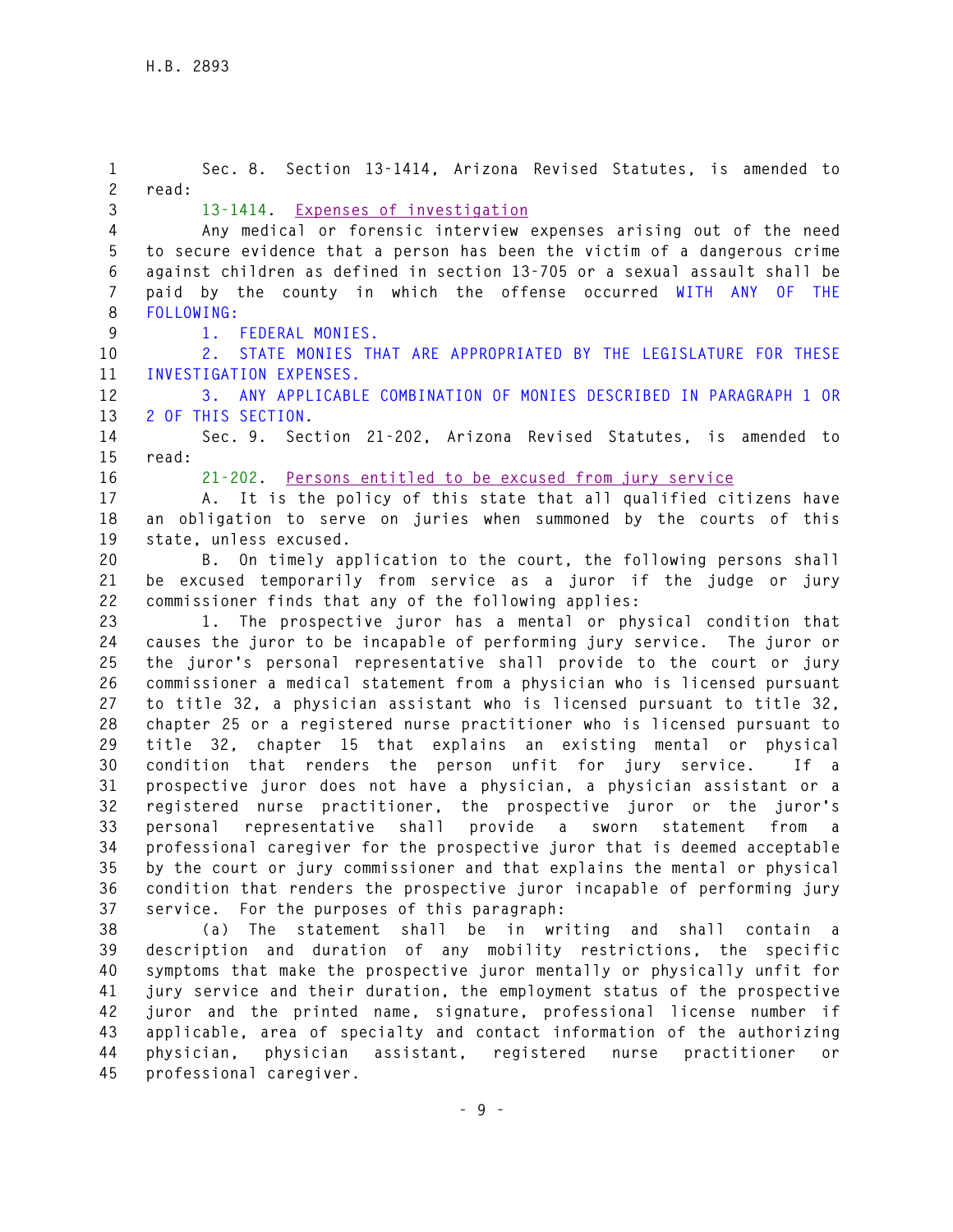| $\mathbf{1}$ | Sec. 8. Section 13-1414, Arizona Revised Statutes, is amended to                              |
|--------------|-----------------------------------------------------------------------------------------------|
| $\mathbf{2}$ | read:                                                                                         |
| 3            | 13-1414. Expenses of investigation                                                            |
| 4            | Any medical or forensic interview expenses arising out of the need                            |
| 5            | to secure evidence that a person has been the victim of a dangerous crime                     |
| 6            | against children as defined in section 13-705 or a sexual assault shall be                    |
| 7            | paid by the county in which the offense occurred WITH ANY<br>OF THE                           |
| 8            | FOLLOWING:                                                                                    |
| 9            | 1. FEDERAL MONIES.                                                                            |
| 10           | STATE MONIES THAT ARE APPROPRIATED BY THE LEGISLATURE FOR THESE<br>2.                         |
| 11           | INVESTIGATION EXPENSES.                                                                       |
| 12           | 3. ANY APPLICABLE COMBINATION OF MONIES DESCRIBED IN PARAGRAPH 1 OR                           |
| 13           | 2 OF THIS SECTION.                                                                            |
| 14           | Sec. 9. Section 21-202, Arizona Revised Statutes, is amended to                               |
| 15           | read:                                                                                         |
| 16           | 21-202. Persons entitled to be excused from jury service                                      |
| 17           | A. It is the policy of this state that all qualified citizens have                            |
| 18           | an obligation to serve on juries when summoned by the courts of this                          |
| 19           | state, unless excused.                                                                        |
| 20           | B. On timely application to the court, the following persons shall                            |
| 21           | be excused temporarily from service as a juror if the judge or jury                           |
| 22           | commissioner finds that any of the following applies:                                         |
| 23           | 1. The prospective juror has a mental or physical condition that                              |
| 24           | causes the juror to be incapable of performing jury service. The juror or                     |
| 25           | the juror's personal representative shall provide to the court or jury                        |
| 26           | commissioner a medical statement from a physician who is licensed pursuant                    |
| 27           | to title 32, a physician assistant who is licensed pursuant to title 32,                      |
| 28           | chapter 25 or a registered nurse practitioner who is licensed pursuant to                     |
| 29           | title 32, chapter 15 that explains an existing mental or physical                             |
| 30           | condition that renders the person unfit for jury service. If a                                |
| 31           | prospective juror does not have a physician, a physician assistant or a                       |
| 32           | registered nurse practitioner, the prospective juror or the<br>juror's                        |
| 33           | representative shall<br>provide a<br>sworn<br>personal<br>statement<br>from<br>$\overline{a}$ |
| 34           | professional caregiver for the prospective juror that is deemed acceptable                    |
| 35           | by the court or jury commissioner and that explains the mental or physical                    |
| 36           | condition that renders the prospective juror incapable of performing jury                     |
| 37           | service. For the purposes of this paragraph:                                                  |
| 38           | statement<br>The<br>shall be in writing<br>and<br>shall<br>(a)<br>contain<br>a                |
| 39           | description and duration of any mobility restrictions, the specific                           |
| 40           | symptoms that make the prospective juror mentally or physically unfit for                     |
| 41           | jury service and their duration, the employment status of the prospective                     |
| 42           | juror and the printed name, signature, professional license number if                         |
| 43           | applicable, area of specialty and contact information of the authorizing                      |
| 44           | physician, physician assistant, registered nurse practitioner<br>or                           |
| 45           | professional caregiver.                                                                       |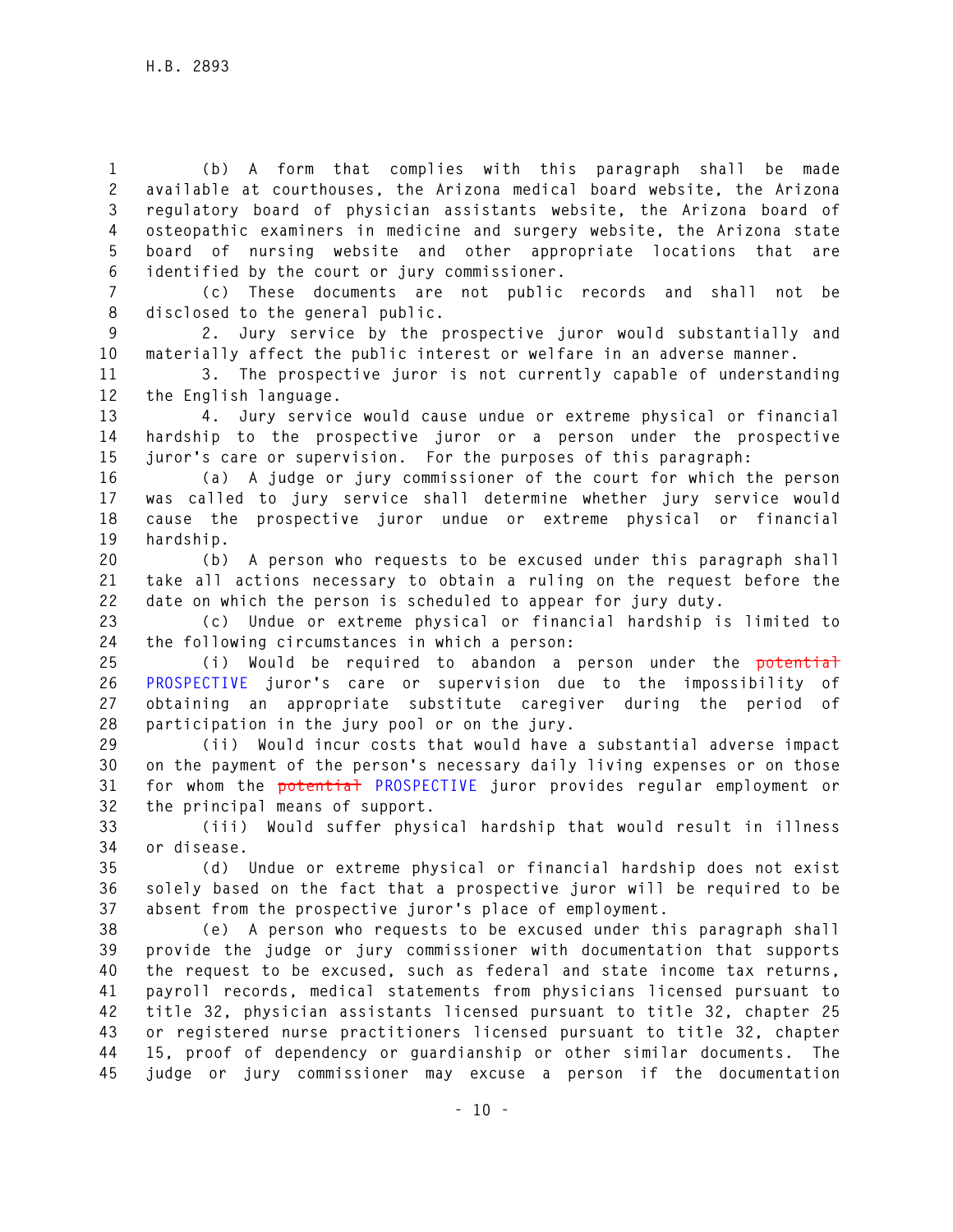**1 (b) A form that complies with this paragraph shall be made 2 available at courthouses, the Arizona medical board website, the Arizona 3 regulatory board of physician assistants website, the Arizona board of 4 osteopathic examiners in medicine and surgery website, the Arizona state 5 board of nursing website and other appropriate locations that are 6 identified by the court or jury commissioner.** 

**7 (c) These documents are not public records and shall not be 8 disclosed to the general public.** 

**9 2. Jury service by the prospective juror would substantially and 10 materially affect the public interest or welfare in an adverse manner.** 

**11 3. The prospective juror is not currently capable of understanding 12 the English language.** 

**13 4. Jury service would cause undue or extreme physical or financial 14 hardship to the prospective juror or a person under the prospective 15 juror's care or supervision. For the purposes of this paragraph:** 

**16 (a) A judge or jury commissioner of the court for which the person 17 was called to jury service shall determine whether jury service would 18 cause the prospective juror undue or extreme physical or financial 19 hardship.** 

**20 (b) A person who requests to be excused under this paragraph shall 21 take all actions necessary to obtain a ruling on the request before the 22 date on which the person is scheduled to appear for jury duty.** 

**23 (c) Undue or extreme physical or financial hardship is limited to 24 the following circumstances in which a person:** 

**25 (i) Would be required to abandon a person under the potential 26 PROSPECTIVE juror's care or supervision due to the impossibility of 27 obtaining an appropriate substitute caregiver during the period of 28 participation in the jury pool or on the jury.** 

**29 (ii) Would incur costs that would have a substantial adverse impact 30 on the payment of the person's necessary daily living expenses or on those 31 for whom the potential PROSPECTIVE juror provides regular employment or 32 the principal means of support.** 

**33 (iii) Would suffer physical hardship that would result in illness 34 or disease.** 

**35 (d) Undue or extreme physical or financial hardship does not exist 36 solely based on the fact that a prospective juror will be required to be 37 absent from the prospective juror's place of employment.** 

**38 (e) A person who requests to be excused under this paragraph shall 39 provide the judge or jury commissioner with documentation that supports 40 the request to be excused, such as federal and state income tax returns, 41 payroll records, medical statements from physicians licensed pursuant to 42 title 32, physician assistants licensed pursuant to title 32, chapter 25 43 or registered nurse practitioners licensed pursuant to title 32, chapter 44 15, proof of dependency or guardianship or other similar documents. The 45 judge or jury commissioner may excuse a person if the documentation**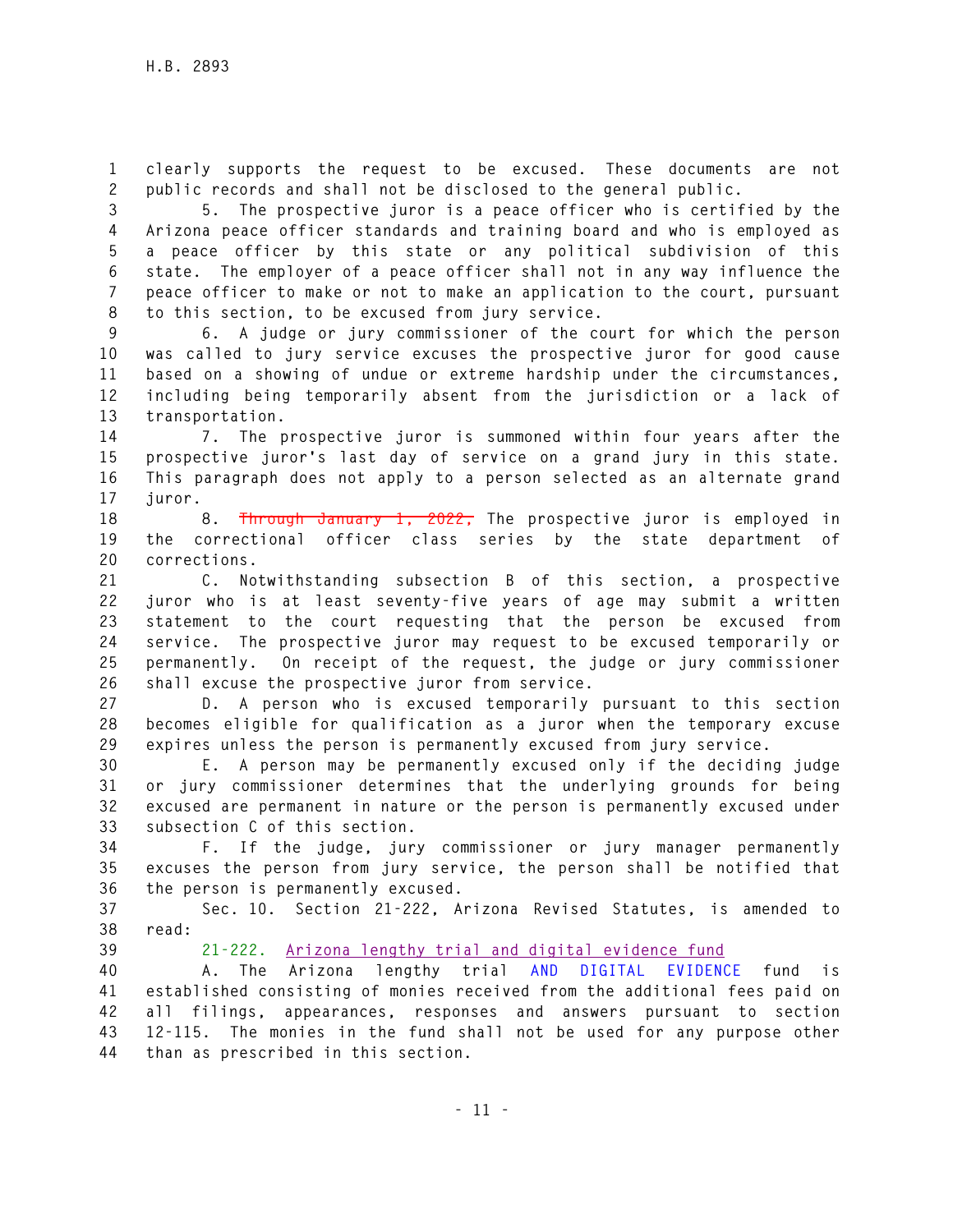**1 clearly supports the request to be excused. These documents are not 2 public records and shall not be disclosed to the general public.** 

**3 5. The prospective juror is a peace officer who is certified by the 4 Arizona peace officer standards and training board and who is employed as 5 a peace officer by this state or any political subdivision of this 6 state. The employer of a peace officer shall not in any way influence the 7 peace officer to make or not to make an application to the court, pursuant 8 to this section, to be excused from jury service.** 

**9 6. A judge or jury commissioner of the court for which the person 10 was called to jury service excuses the prospective juror for good cause 11 based on a showing of undue or extreme hardship under the circumstances, 12 including being temporarily absent from the jurisdiction or a lack of 13 transportation.** 

**14 7. The prospective juror is summoned within four years after the 15 prospective juror's last day of service on a grand jury in this state. 16 This paragraph does not apply to a person selected as an alternate grand 17 juror.** 

**18 8. Through January 1, 2022, The prospective juror is employed in 19 the correctional officer class series by the state department of 20 corrections.** 

**21 C. Notwithstanding subsection B of this section, a prospective 22 juror who is at least seventy-five years of age may submit a written 23 statement to the court requesting that the person be excused from 24 service. The prospective juror may request to be excused temporarily or 25 permanently. On receipt of the request, the judge or jury commissioner 26 shall excuse the prospective juror from service.** 

**27 D. A person who is excused temporarily pursuant to this section 28 becomes eligible for qualification as a juror when the temporary excuse 29 expires unless the person is permanently excused from jury service.** 

**30 E. A person may be permanently excused only if the deciding judge 31 or jury commissioner determines that the underlying grounds for being 32 excused are permanent in nature or the person is permanently excused under 33 subsection C of this section.** 

**34 F. If the judge, jury commissioner or jury manager permanently 35 excuses the person from jury service, the person shall be notified that 36 the person is permanently excused.** 

**37 Sec. 10. Section 21-222, Arizona Revised Statutes, is amended to 38 read:** 

**39 21-222. Arizona lengthy trial and digital evidence fund** 

**40 A. The Arizona lengthy trial AND DIGITAL EVIDENCE fund is 41 established consisting of monies received from the additional fees paid on 42 all filings, appearances, responses and answers pursuant to section 43 12-115. The monies in the fund shall not be used for any purpose other 44 than as prescribed in this section.**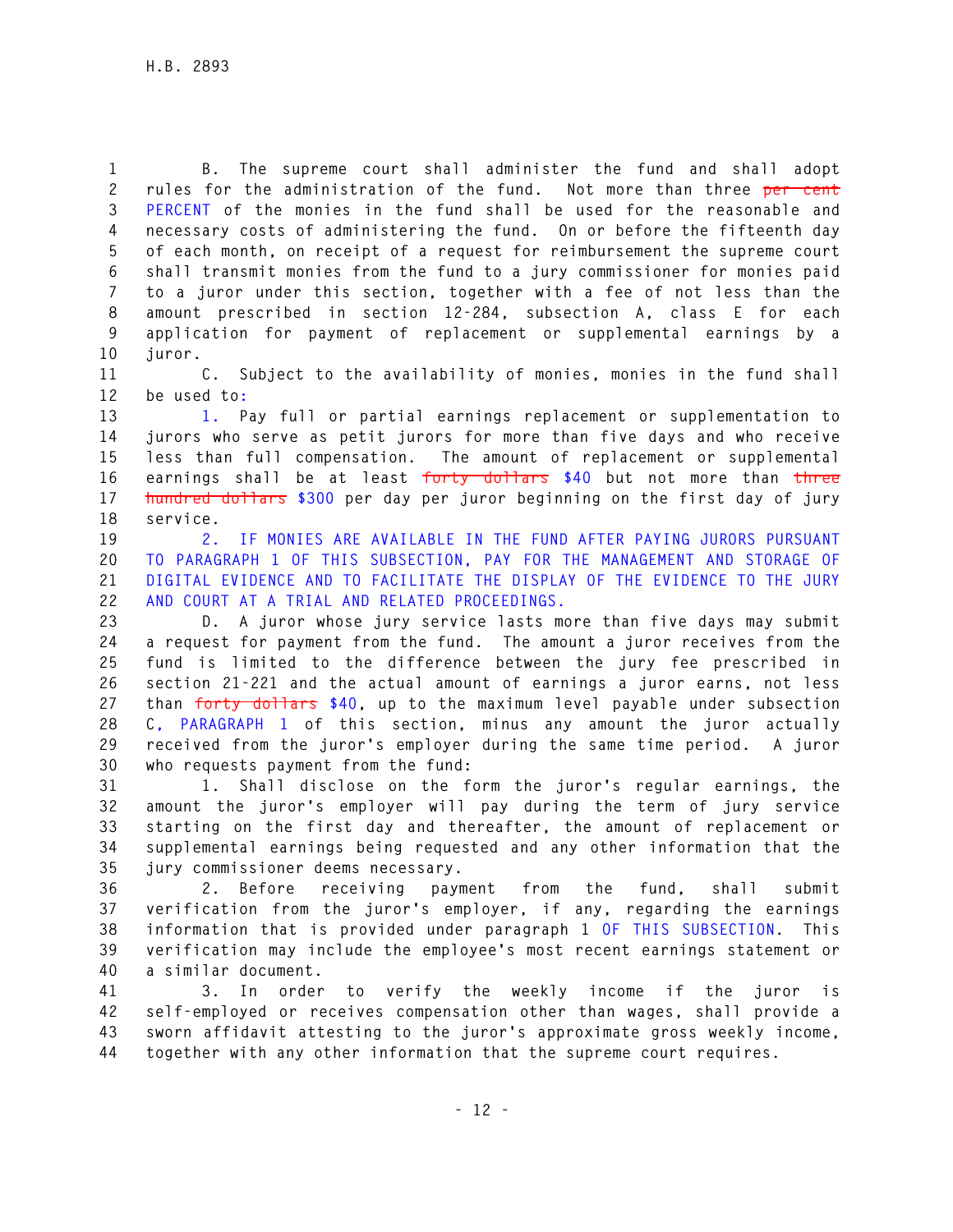**1 B. The supreme court shall administer the fund and shall adopt 2 rules for the administration of the fund. Not more than three per cent 3 PERCENT of the monies in the fund shall be used for the reasonable and 4 necessary costs of administering the fund. On or before the fifteenth day 5 of each month, on receipt of a request for reimbursement the supreme court 6 shall transmit monies from the fund to a jury commissioner for monies paid 7 to a juror under this section, together with a fee of not less than the 8 amount prescribed in section 12-284, subsection A, class E for each 9 application for payment of replacement or supplemental earnings by a 10 juror.** 

**11 C. Subject to the availability of monies, monies in the fund shall 12 be used to:** 

**13 1. Pay full or partial earnings replacement or supplementation to 14 jurors who serve as petit jurors for more than five days and who receive 15 less than full compensation. The amount of replacement or supplemental 16 earnings shall be at least forty dollars \$40 but not more than three 17 hundred dollars \$300 per day per juror beginning on the first day of jury 18 service.** 

**19 2. IF MONIES ARE AVAILABLE IN THE FUND AFTER PAYING JURORS PURSUANT 20 TO PARAGRAPH 1 OF THIS SUBSECTION, PAY FOR THE MANAGEMENT AND STORAGE OF 21 DIGITAL EVIDENCE AND TO FACILITATE THE DISPLAY OF THE EVIDENCE TO THE JURY 22 AND COURT AT A TRIAL AND RELATED PROCEEDINGS.** 

**23 D. A juror whose jury service lasts more than five days may submit 24 a request for payment from the fund. The amount a juror receives from the 25 fund is limited to the difference between the jury fee prescribed in 26 section 21-221 and the actual amount of earnings a juror earns, not less 27 than forty dollars \$40, up to the maximum level payable under subsection 28 C, PARAGRAPH 1 of this section, minus any amount the juror actually 29 received from the juror's employer during the same time period. A juror 30 who requests payment from the fund:** 

**31 1. Shall disclose on the form the juror's regular earnings, the 32 amount the juror's employer will pay during the term of jury service 33 starting on the first day and thereafter, the amount of replacement or 34 supplemental earnings being requested and any other information that the 35 jury commissioner deems necessary.** 

**36 2. Before receiving payment from the fund, shall submit 37 verification from the juror's employer, if any, regarding the earnings 38 information that is provided under paragraph 1 OF THIS SUBSECTION. This 39 verification may include the employee's most recent earnings statement or 40 a similar document.** 

**41 3. In order to verify the weekly income if the juror is 42 self-employed or receives compensation other than wages, shall provide a 43 sworn affidavit attesting to the juror's approximate gross weekly income, 44 together with any other information that the supreme court requires.**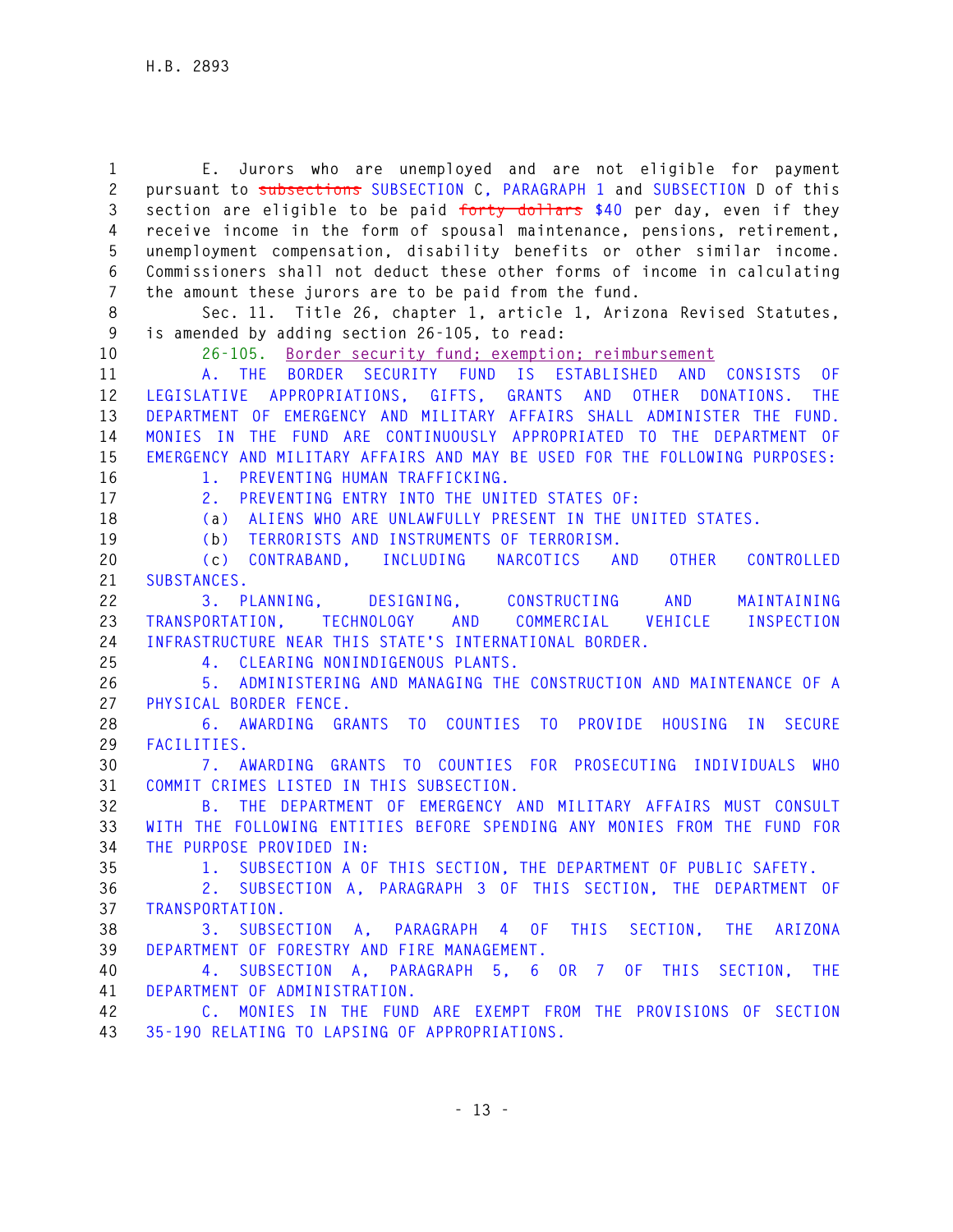**1 E. Jurors who are unemployed and are not eligible for payment 2 pursuant to subsections SUBSECTION C, PARAGRAPH 1 and SUBSECTION D of this 3 section are eligible to be paid forty dollars \$40 per day, even if they 4 receive income in the form of spousal maintenance, pensions, retirement, 5 unemployment compensation, disability benefits or other similar income. 6 Commissioners shall not deduct these other forms of income in calculating 7 the amount these jurors are to be paid from the fund. 8 Sec. 11. Title 26, chapter 1, article 1, Arizona Revised Statutes, 9 is amended by adding section 26-105, to read: 10 26-105. Border security fund; exemption; reimbursement 11 A. THE BORDER SECURITY FUND IS ESTABLISHED AND CONSISTS OF 12 LEGISLATIVE APPROPRIATIONS, GIFTS, GRANTS AND OTHER DONATIONS. THE 13 DEPARTMENT OF EMERGENCY AND MILITARY AFFAIRS SHALL ADMINISTER THE FUND. 14 MONIES IN THE FUND ARE CONTINUOUSLY APPROPRIATED TO THE DEPARTMENT OF 15 EMERGENCY AND MILITARY AFFAIRS AND MAY BE USED FOR THE FOLLOWING PURPOSES: 16 1. PREVENTING HUMAN TRAFFICKING. 17 2. PREVENTING ENTRY INTO THE UNITED STATES OF: 18 (a) ALIENS WHO ARE UNLAWFULLY PRESENT IN THE UNITED STATES. 19 (b) TERRORISTS AND INSTRUMENTS OF TERRORISM. 20 (c) CONTRABAND, INCLUDING NARCOTICS AND OTHER CONTROLLED 21 SUBSTANCES. 22 3. PLANNING, DESIGNING, CONSTRUCTING AND MAINTAINING 23 TRANSPORTATION, TECHNOLOGY AND COMMERCIAL VEHICLE INSPECTION 24 INFRASTRUCTURE NEAR THIS STATE'S INTERNATIONAL BORDER. 25 4. CLEARING NONINDIGENOUS PLANTS. 26 5. ADMINISTERING AND MANAGING THE CONSTRUCTION AND MAINTENANCE OF A 27 PHYSICAL BORDER FENCE. 28 6. AWARDING GRANTS TO COUNTIES TO PROVIDE HOUSING IN SECURE 29 FACILITIES. 30 7. AWARDING GRANTS TO COUNTIES FOR PROSECUTING INDIVIDUALS WHO 31 COMMIT CRIMES LISTED IN THIS SUBSECTION. 32 B. THE DEPARTMENT OF EMERGENCY AND MILITARY AFFAIRS MUST CONSULT 33 WITH THE FOLLOWING ENTITIES BEFORE SPENDING ANY MONIES FROM THE FUND FOR 34 THE PURPOSE PROVIDED IN: 35 1. SUBSECTION A OF THIS SECTION, THE DEPARTMENT OF PUBLIC SAFETY. 36 2. SUBSECTION A, PARAGRAPH 3 OF THIS SECTION, THE DEPARTMENT OF 37 TRANSPORTATION. 38 3. SUBSECTION A, PARAGRAPH 4 OF THIS SECTION, THE ARIZONA 39 DEPARTMENT OF FORESTRY AND FIRE MANAGEMENT. 40 4. SUBSECTION A, PARAGRAPH 5, 6 OR 7 OF THIS SECTION, THE 41 DEPARTMENT OF ADMINISTRATION. 42 C. MONIES IN THE FUND ARE EXEMPT FROM THE PROVISIONS OF SECTION 43 35-190 RELATING TO LAPSING OF APPROPRIATIONS.**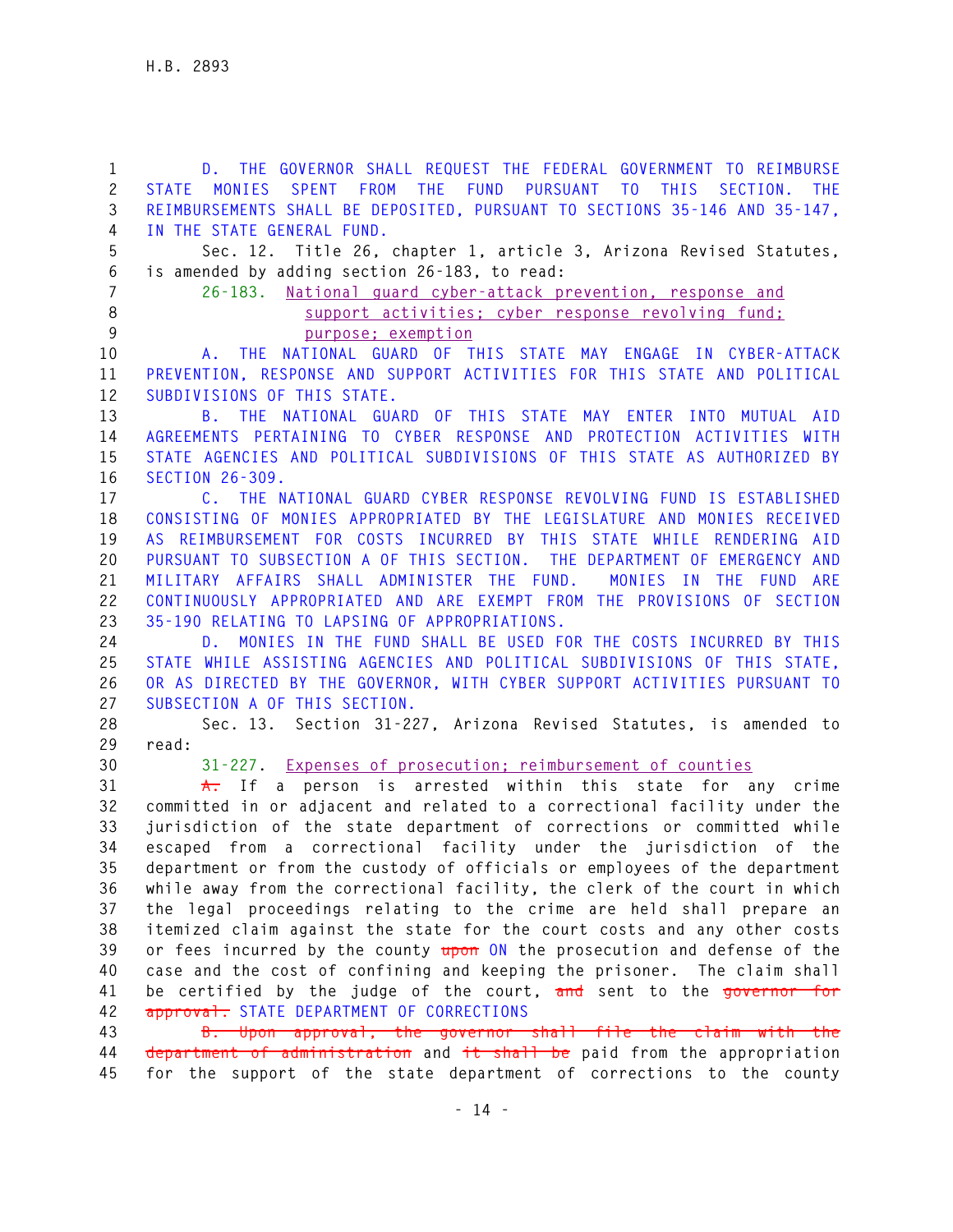**1 D. THE GOVERNOR SHALL REQUEST THE FEDERAL GOVERNMENT TO REIMBURSE 2 STATE MONIES SPENT FROM THE FUND PURSUANT TO THIS SECTION. THE 3 REIMBURSEMENTS SHALL BE DEPOSITED, PURSUANT TO SECTIONS 35-146 AND 35-147, 4 IN THE STATE GENERAL FUND. 5 Sec. 12. Title 26, chapter 1, article 3, Arizona Revised Statutes, 6 is amended by adding section 26-183, to read: 7 26-183. National guard cyber-attack prevention, response and 8 support activities; cyber response revolving fund; 9 purpose; exemption 10 A. THE NATIONAL GUARD OF THIS STATE MAY ENGAGE IN CYBER-ATTACK 11 PREVENTION, RESPONSE AND SUPPORT ACTIVITIES FOR THIS STATE AND POLITICAL 12 SUBDIVISIONS OF THIS STATE. 13 B. THE NATIONAL GUARD OF THIS STATE MAY ENTER INTO MUTUAL AID 14 AGREEMENTS PERTAINING TO CYBER RESPONSE AND PROTECTION ACTIVITIES WITH 15 STATE AGENCIES AND POLITICAL SUBDIVISIONS OF THIS STATE AS AUTHORIZED BY 16 SECTION 26-309. 17 C. THE NATIONAL GUARD CYBER RESPONSE REVOLVING FUND IS ESTABLISHED 18 CONSISTING OF MONIES APPROPRIATED BY THE LEGISLATURE AND MONIES RECEIVED 19 AS REIMBURSEMENT FOR COSTS INCURRED BY THIS STATE WHILE RENDERING AID 20 PURSUANT TO SUBSECTION A OF THIS SECTION. THE DEPARTMENT OF EMERGENCY AND 21 MILITARY AFFAIRS SHALL ADMINISTER THE FUND. MONIES IN THE FUND ARE 22 CONTINUOUSLY APPROPRIATED AND ARE EXEMPT FROM THE PROVISIONS OF SECTION 23 35-190 RELATING TO LAPSING OF APPROPRIATIONS. 24 D. MONIES IN THE FUND SHALL BE USED FOR THE COSTS INCURRED BY THIS 25 STATE WHILE ASSISTING AGENCIES AND POLITICAL SUBDIVISIONS OF THIS STATE, 26 OR AS DIRECTED BY THE GOVERNOR, WITH CYBER SUPPORT ACTIVITIES PURSUANT TO 27 SUBSECTION A OF THIS SECTION. 28 Sec. 13. Section 31-227, Arizona Revised Statutes, is amended to 29 read: 30 31-227. Expenses of prosecution; reimbursement of counties 31 A. If a person is arrested within this state for any crime 32 committed in or adjacent and related to a correctional facility under the 33 jurisdiction of the state department of corrections or committed while 34 escaped from a correctional facility under the jurisdiction of the 35 department or from the custody of officials or employees of the department 36 while away from the correctional facility, the clerk of the court in which 37 the legal proceedings relating to the crime are held shall prepare an 38 itemized claim against the state for the court costs and any other costs 39 or fees incurred by the county upon ON the prosecution and defense of the 40 case and the cost of confining and keeping the prisoner. The claim shall 41 be certified by the judge of the court, and sent to the governor for 42 approval. STATE DEPARTMENT OF CORRECTIONS 43 B. Upon approval, the governor shall file the claim with the 44 department of administration and it shall be paid from the appropriation 45 for the support of the state department of corrections to the county**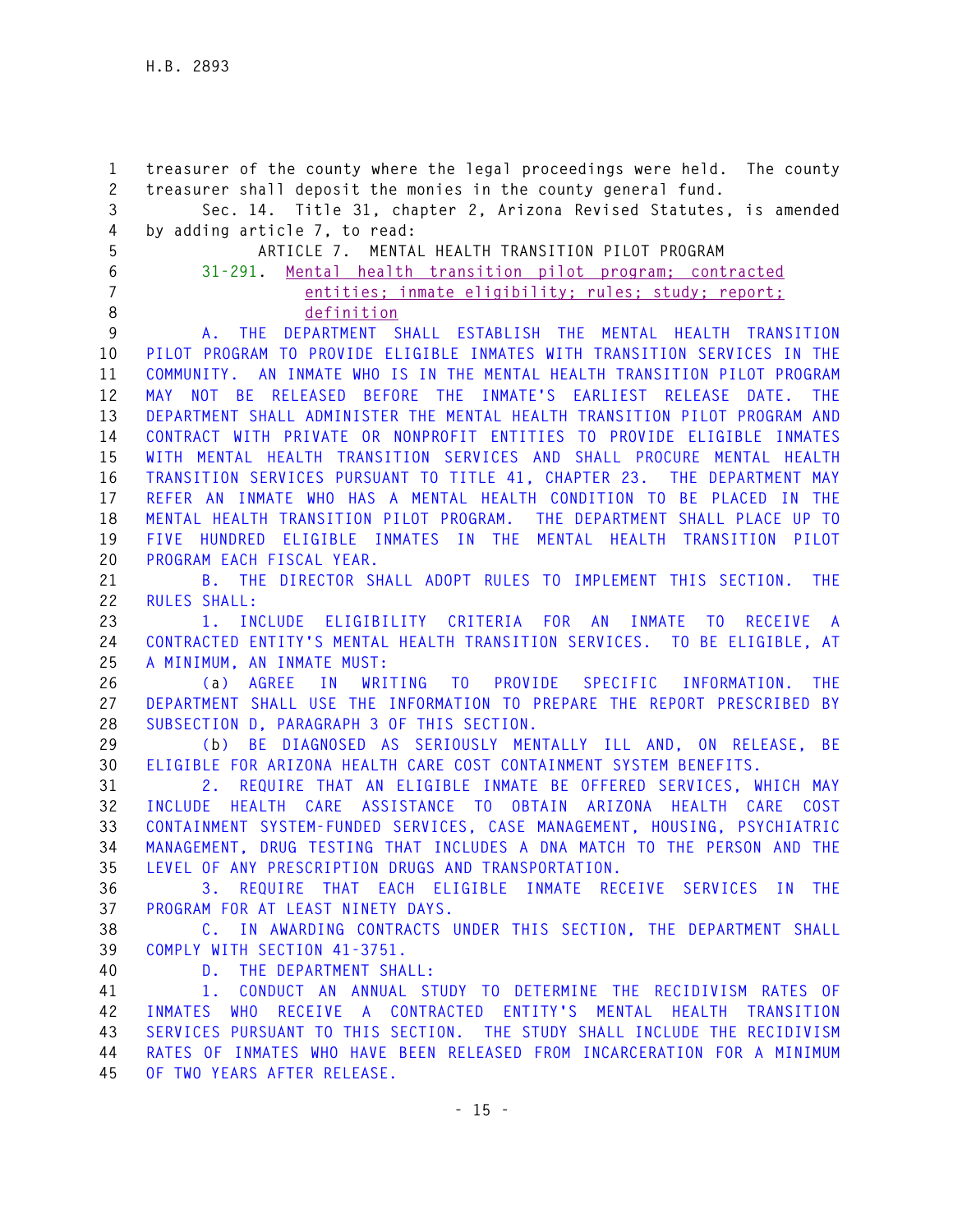**1 treasurer of the county where the legal proceedings were held. The county 2 treasurer shall deposit the monies in the county general fund. 3 Sec. 14. Title 31, chapter 2, Arizona Revised Statutes, is amended 4 by adding article 7, to read: 5 ARTICLE 7. MENTAL HEALTH TRANSITION PILOT PROGRAM 6 31-291. Mental health transition pilot program; contracted 7 entities; inmate eligibility; rules; study; report; 8 definition 9 A. THE DEPARTMENT SHALL ESTABLISH THE MENTAL HEALTH TRANSITION 10 PILOT PROGRAM TO PROVIDE ELIGIBLE INMATES WITH TRANSITION SERVICES IN THE 11 COMMUNITY. AN INMATE WHO IS IN THE MENTAL HEALTH TRANSITION PILOT PROGRAM 12 MAY NOT BE RELEASED BEFORE THE INMATE'S EARLIEST RELEASE DATE. THE 13 DEPARTMENT SHALL ADMINISTER THE MENTAL HEALTH TRANSITION PILOT PROGRAM AND 14 CONTRACT WITH PRIVATE OR NONPROFIT ENTITIES TO PROVIDE ELIGIBLE INMATES 15 WITH MENTAL HEALTH TRANSITION SERVICES AND SHALL PROCURE MENTAL HEALTH 16 TRANSITION SERVICES PURSUANT TO TITLE 41, CHAPTER 23. THE DEPARTMENT MAY 17 REFER AN INMATE WHO HAS A MENTAL HEALTH CONDITION TO BE PLACED IN THE 18 MENTAL HEALTH TRANSITION PILOT PROGRAM. THE DEPARTMENT SHALL PLACE UP TO 19 FIVE HUNDRED ELIGIBLE INMATES IN THE MENTAL HEALTH TRANSITION PILOT 20 PROGRAM EACH FISCAL YEAR. 21 B. THE DIRECTOR SHALL ADOPT RULES TO IMPLEMENT THIS SECTION. THE 22 RULES SHALL: 23 1. INCLUDE ELIGIBILITY CRITERIA FOR AN INMATE TO RECEIVE A 24 CONTRACTED ENTITY'S MENTAL HEALTH TRANSITION SERVICES. TO BE ELIGIBLE, AT 25 A MINIMUM, AN INMATE MUST: 26 (a) AGREE IN WRITING TO PROVIDE SPECIFIC INFORMATION. THE 27 DEPARTMENT SHALL USE THE INFORMATION TO PREPARE THE REPORT PRESCRIBED BY 28 SUBSECTION D, PARAGRAPH 3 OF THIS SECTION. 29 (b) BE DIAGNOSED AS SERIOUSLY MENTALLY ILL AND, ON RELEASE, BE 30 ELIGIBLE FOR ARIZONA HEALTH CARE COST CONTAINMENT SYSTEM BENEFITS. 31 2. REQUIRE THAT AN ELIGIBLE INMATE BE OFFERED SERVICES, WHICH MAY 32 INCLUDE HEALTH CARE ASSISTANCE TO OBTAIN ARIZONA HEALTH CARE COST 33 CONTAINMENT SYSTEM-FUNDED SERVICES, CASE MANAGEMENT, HOUSING, PSYCHIATRIC 34 MANAGEMENT, DRUG TESTING THAT INCLUDES A DNA MATCH TO THE PERSON AND THE 35 LEVEL OF ANY PRESCRIPTION DRUGS AND TRANSPORTATION. 36 3. REQUIRE THAT EACH ELIGIBLE INMATE RECEIVE SERVICES IN THE 37 PROGRAM FOR AT LEAST NINETY DAYS. 38 C. IN AWARDING CONTRACTS UNDER THIS SECTION, THE DEPARTMENT SHALL 39 COMPLY WITH SECTION 41-3751. 40 D. THE DEPARTMENT SHALL: 41 1. CONDUCT AN ANNUAL STUDY TO DETERMINE THE RECIDIVISM RATES OF 42 INMATES WHO RECEIVE A CONTRACTED ENTITY'S MENTAL HEALTH TRANSITION 43 SERVICES PURSUANT TO THIS SECTION. THE STUDY SHALL INCLUDE THE RECIDIVISM 44 RATES OF INMATES WHO HAVE BEEN RELEASED FROM INCARCERATION FOR A MINIMUM 45 OF TWO YEARS AFTER RELEASE.**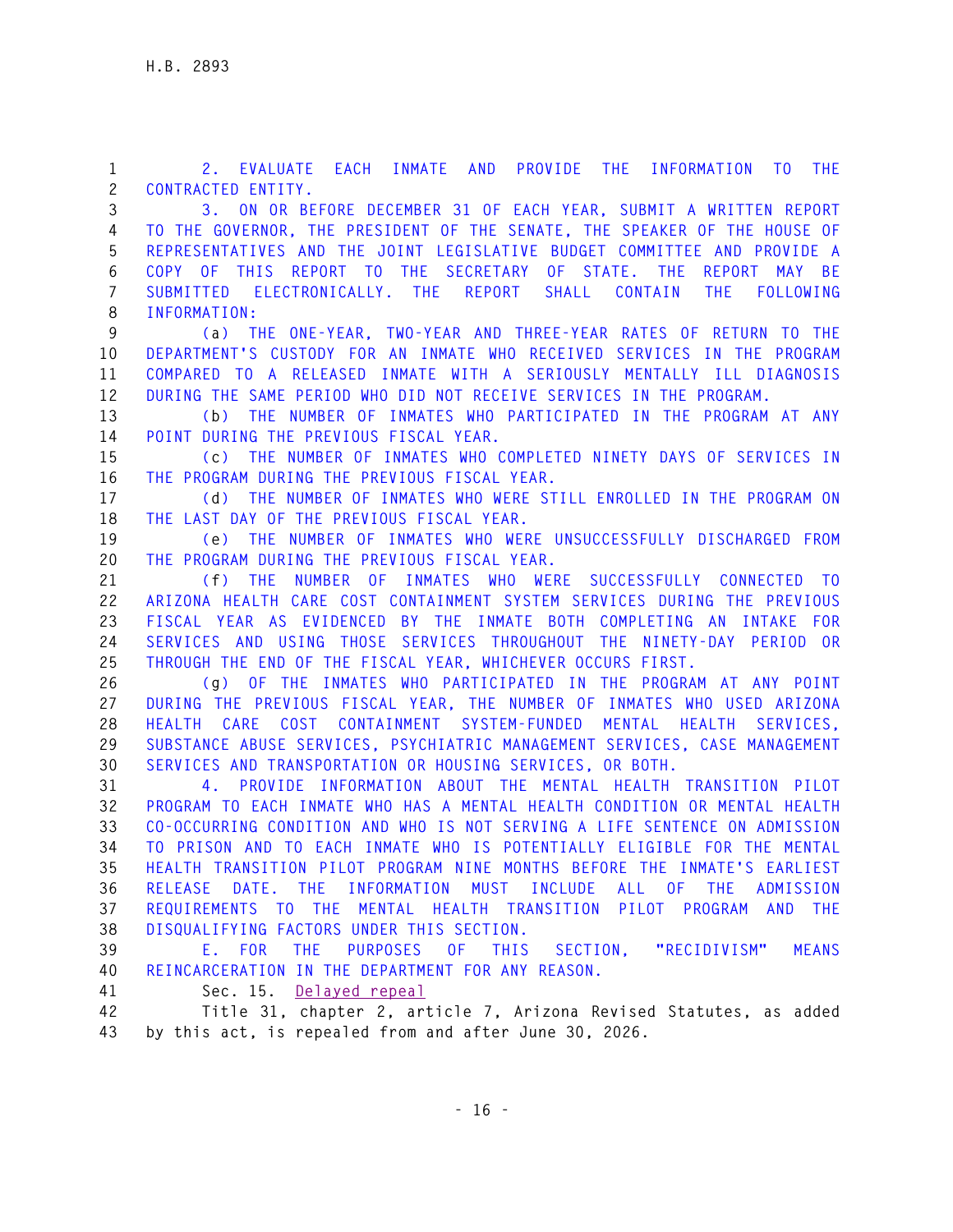**1 2. EVALUATE EACH INMATE AND PROVIDE THE INFORMATION TO THE 2 CONTRACTED ENTITY. 3 3. ON OR BEFORE DECEMBER 31 OF EACH YEAR, SUBMIT A WRITTEN REPORT 4 TO THE GOVERNOR, THE PRESIDENT OF THE SENATE, THE SPEAKER OF THE HOUSE OF 5 REPRESENTATIVES AND THE JOINT LEGISLATIVE BUDGET COMMITTEE AND PROVIDE A 6 COPY OF THIS REPORT TO THE SECRETARY OF STATE. THE REPORT MAY BE 7 SUBMITTED ELECTRONICALLY. THE REPORT SHALL CONTAIN THE FOLLOWING 8 INFORMATION: 9 (a) THE ONE-YEAR, TWO-YEAR AND THREE-YEAR RATES OF RETURN TO THE 10 DEPARTMENT'S CUSTODY FOR AN INMATE WHO RECEIVED SERVICES IN THE PROGRAM 11 COMPARED TO A RELEASED INMATE WITH A SERIOUSLY MENTALLY ILL DIAGNOSIS 12 DURING THE SAME PERIOD WHO DID NOT RECEIVE SERVICES IN THE PROGRAM. 13 (b) THE NUMBER OF INMATES WHO PARTICIPATED IN THE PROGRAM AT ANY 14 POINT DURING THE PREVIOUS FISCAL YEAR. 15 (c) THE NUMBER OF INMATES WHO COMPLETED NINETY DAYS OF SERVICES IN 16 THE PROGRAM DURING THE PREVIOUS FISCAL YEAR. 17 (d) THE NUMBER OF INMATES WHO WERE STILL ENROLLED IN THE PROGRAM ON 18 THE LAST DAY OF THE PREVIOUS FISCAL YEAR. 19 (e) THE NUMBER OF INMATES WHO WERE UNSUCCESSFULLY DISCHARGED FROM 20 THE PROGRAM DURING THE PREVIOUS FISCAL YEAR. 21 (f) THE NUMBER OF INMATES WHO WERE SUCCESSFULLY CONNECTED TO 22 ARIZONA HEALTH CARE COST CONTAINMENT SYSTEM SERVICES DURING THE PREVIOUS 23 FISCAL YEAR AS EVIDENCED BY THE INMATE BOTH COMPLETING AN INTAKE FOR 24 SERVICES AND USING THOSE SERVICES THROUGHOUT THE NINETY-DAY PERIOD OR 25 THROUGH THE END OF THE FISCAL YEAR, WHICHEVER OCCURS FIRST. 26 (g) OF THE INMATES WHO PARTICIPATED IN THE PROGRAM AT ANY POINT 27 DURING THE PREVIOUS FISCAL YEAR, THE NUMBER OF INMATES WHO USED ARIZONA 28 HEALTH CARE COST CONTAINMENT SYSTEM-FUNDED MENTAL HEALTH SERVICES, 29 SUBSTANCE ABUSE SERVICES, PSYCHIATRIC MANAGEMENT SERVICES, CASE MANAGEMENT 30 SERVICES AND TRANSPORTATION OR HOUSING SERVICES, OR BOTH. 31 4. PROVIDE INFORMATION ABOUT THE MENTAL HEALTH TRANSITION PILOT 32 PROGRAM TO EACH INMATE WHO HAS A MENTAL HEALTH CONDITION OR MENTAL HEALTH 33 CO-OCCURRING CONDITION AND WHO IS NOT SERVING A LIFE SENTENCE ON ADMISSION 34 TO PRISON AND TO EACH INMATE WHO IS POTENTIALLY ELIGIBLE FOR THE MENTAL 35 HEALTH TRANSITION PILOT PROGRAM NINE MONTHS BEFORE THE INMATE'S EARLIEST 36 RELEASE DATE. THE INFORMATION MUST INCLUDE ALL OF THE ADMISSION 37 REQUIREMENTS TO THE MENTAL HEALTH TRANSITION PILOT PROGRAM AND THE 38 DISQUALIFYING FACTORS UNDER THIS SECTION. 39 E. FOR THE PURPOSES OF THIS SECTION, "RECIDIVISM" MEANS 40 REINCARCERATION IN THE DEPARTMENT FOR ANY REASON. 41 Sec. 15. Delayed repeal 42 Title 31, chapter 2, article 7, Arizona Revised Statutes, as added 43 by this act, is repealed from and after June 30, 2026.**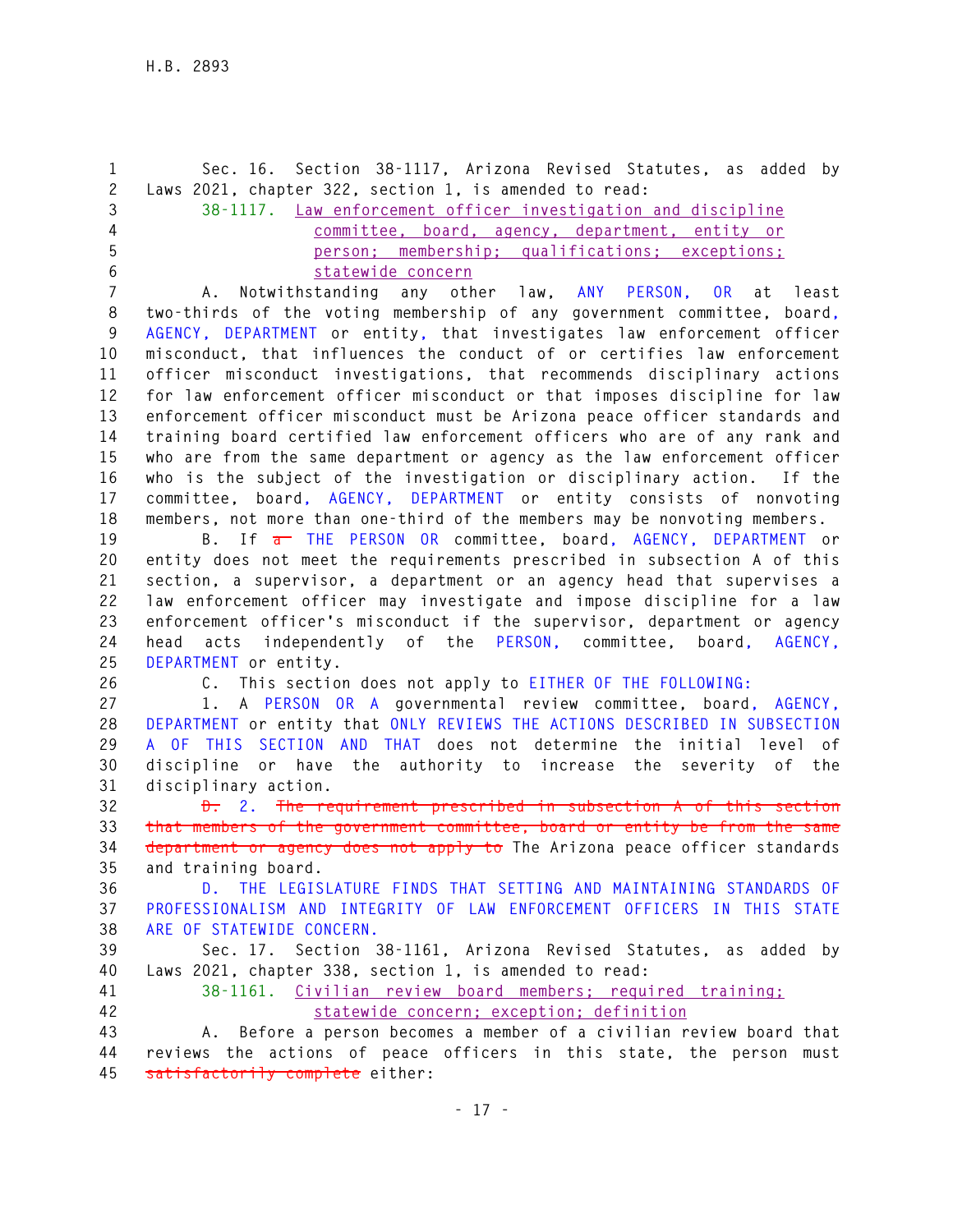**1 Sec. 16. Section 38-1117, Arizona Revised Statutes, as added by 2 Laws 2021, chapter 322, section 1, is amended to read: 3 38-1117. Law enforcement officer investigation and discipline 4 committee, board, agency, department, entity or 5 person; membership; qualifications; exceptions; 6 statewide concern 7 A. Notwithstanding any other law, ANY PERSON, OR at least 8 two-thirds of the voting membership of any government committee, board, 9 AGENCY, DEPARTMENT or entity, that investigates law enforcement officer 10 misconduct, that influences the conduct of or certifies law enforcement 11 officer misconduct investigations, that recommends disciplinary actions 12 for law enforcement officer misconduct or that imposes discipline for law 13 enforcement officer misconduct must be Arizona peace officer standards and 14 training board certified law enforcement officers who are of any rank and 15 who are from the same department or agency as the law enforcement officer 16 who is the subject of the investigation or disciplinary action. If the 17 committee, board, AGENCY, DEPARTMENT or entity consists of nonvoting 18 members, not more than one-third of the members may be nonvoting members.**  19 B. If  $\frac{1}{6}$  THE PERSON OR committee, board, AGENCY, DEPARTMENT or **20 entity does not meet the requirements prescribed in subsection A of this 21 section, a supervisor, a department or an agency head that supervises a 22 law enforcement officer may investigate and impose discipline for a law 23 enforcement officer's misconduct if the supervisor, department or agency 24 head acts independently of the PERSON, committee, board, AGENCY, 25 DEPARTMENT or entity. 26 C. This section does not apply to EITHER OF THE FOLLOWING: 27 1. A PERSON OR A governmental review committee, board, AGENCY, 28 DEPARTMENT or entity that ONLY REVIEWS THE ACTIONS DESCRIBED IN SUBSECTION 29 A OF THIS SECTION AND THAT does not determine the initial level of 30 discipline or have the authority to increase the severity of the 31 disciplinary action. 32 D. 2. The requirement prescribed in subsection A of this section 33 that members of the government committee, board or entity be from the same 34 department or agency does not apply to The Arizona peace officer standards 35 and training board. 36 D. THE LEGISLATURE FINDS THAT SETTING AND MAINTAINING STANDARDS OF 37 PROFESSIONALISM AND INTEGRITY OF LAW ENFORCEMENT OFFICERS IN THIS STATE 38 ARE OF STATEWIDE CONCERN. 39 Sec. 17. Section 38-1161, Arizona Revised Statutes, as added by 40 Laws 2021, chapter 338, section 1, is amended to read: 41 38-1161. Civilian review board members; required training; 42 statewide concern; exception; definition 43 A. Before a person becomes a member of a civilian review board that 44 reviews the actions of peace officers in this state, the person must 45 satisfactorily complete either:**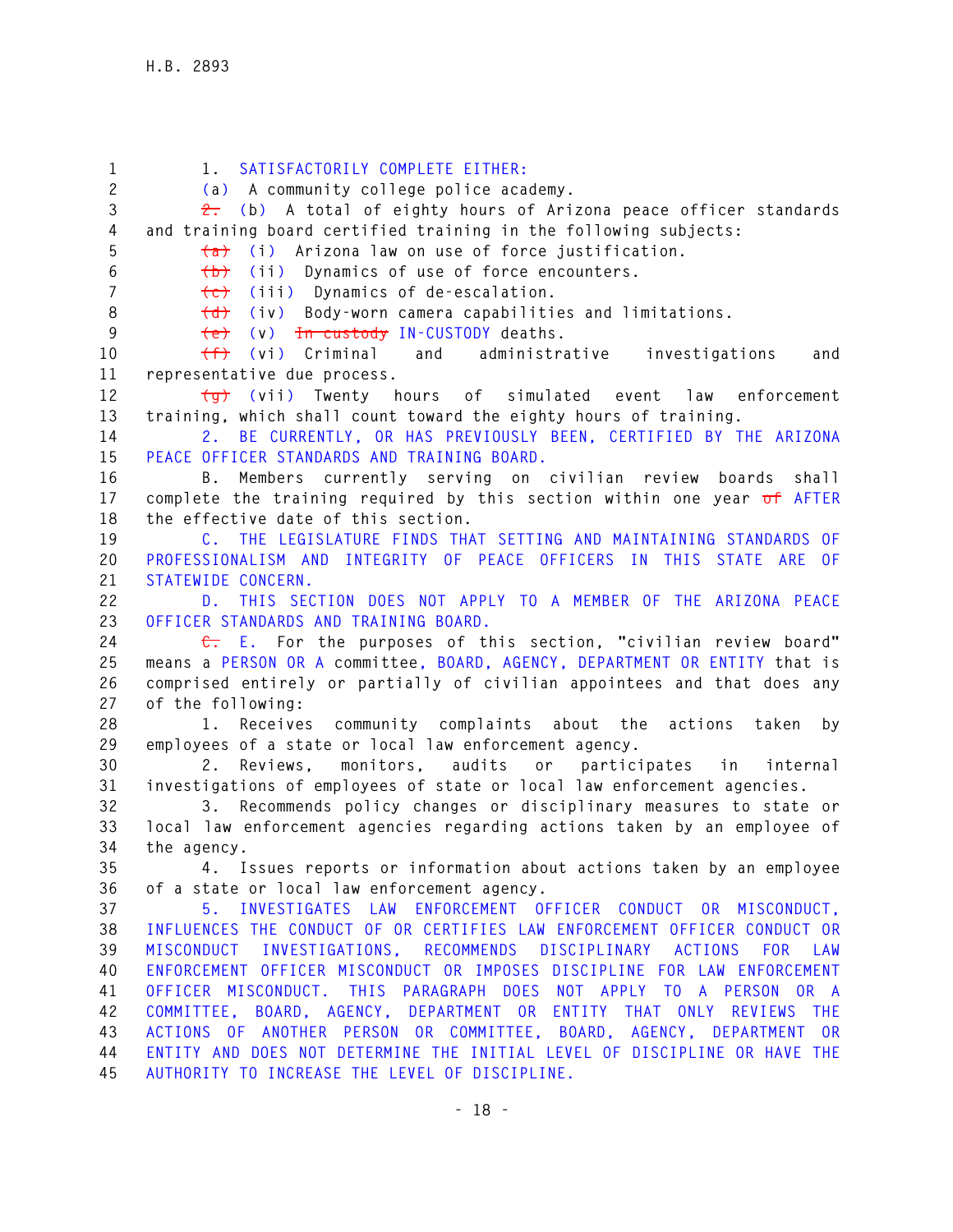**1 1. SATISFACTORILY COMPLETE EITHER: 2 (a) A community college police academy. 3 2. (b) A total of eighty hours of Arizona peace officer standards 4 and training board certified training in the following subjects: 5 (a) (i) Arizona law on use of force justification. 6 (b) (ii) Dynamics of use of force encounters. 7 (c) (iii) Dynamics of de-escalation. 8 (d) (iv) Body-worn camera capabilities and limitations. 9 (e) (v) In custody IN-CUSTODY deaths. 10 (f) (vi) Criminal and administrative investigations and 11 representative due process. 12 (g) (vii) Twenty hours of simulated event law enforcement 13 training, which shall count toward the eighty hours of training. 14 2. BE CURRENTLY, OR HAS PREVIOUSLY BEEN, CERTIFIED BY THE ARIZONA 15 PEACE OFFICER STANDARDS AND TRAINING BOARD. 16 B. Members currently serving on civilian review boards shall 17 complete the training required by this section within one year of AFTER 18 the effective date of this section. 19 C. THE LEGISLATURE FINDS THAT SETTING AND MAINTAINING STANDARDS OF 20 PROFESSIONALISM AND INTEGRITY OF PEACE OFFICERS IN THIS STATE ARE OF 21 STATEWIDE CONCERN. 22 D. THIS SECTION DOES NOT APPLY TO A MEMBER OF THE ARIZONA PEACE 23 OFFICER STANDARDS AND TRAINING BOARD. 24 C. E. For the purposes of this section, "civilian review board" 25 means a PERSON OR A committee, BOARD, AGENCY, DEPARTMENT OR ENTITY that is 26 comprised entirely or partially of civilian appointees and that does any 27 of the following: 28 1. Receives community complaints about the actions taken by 29 employees of a state or local law enforcement agency. 30 2. Reviews, monitors, audits or participates in internal 31 investigations of employees of state or local law enforcement agencies. 32 3. Recommends policy changes or disciplinary measures to state or 33 local law enforcement agencies regarding actions taken by an employee of 34 the agency. 35 4. Issues reports or information about actions taken by an employee 36 of a state or local law enforcement agency. 37 5. INVESTIGATES LAW ENFORCEMENT OFFICER CONDUCT OR MISCONDUCT, 38 INFLUENCES THE CONDUCT OF OR CERTIFIES LAW ENFORCEMENT OFFICER CONDUCT OR 39 MISCONDUCT INVESTIGATIONS, RECOMMENDS DISCIPLINARY ACTIONS FOR LAW 40 ENFORCEMENT OFFICER MISCONDUCT OR IMPOSES DISCIPLINE FOR LAW ENFORCEMENT 41 OFFICER MISCONDUCT. THIS PARAGRAPH DOES NOT APPLY TO A PERSON OR A 42 COMMITTEE, BOARD, AGENCY, DEPARTMENT OR ENTITY THAT ONLY REVIEWS THE 43 ACTIONS OF ANOTHER PERSON OR COMMITTEE, BOARD, AGENCY, DEPARTMENT OR 44 ENTITY AND DOES NOT DETERMINE THE INITIAL LEVEL OF DISCIPLINE OR HAVE THE 45 AUTHORITY TO INCREASE THE LEVEL OF DISCIPLINE.**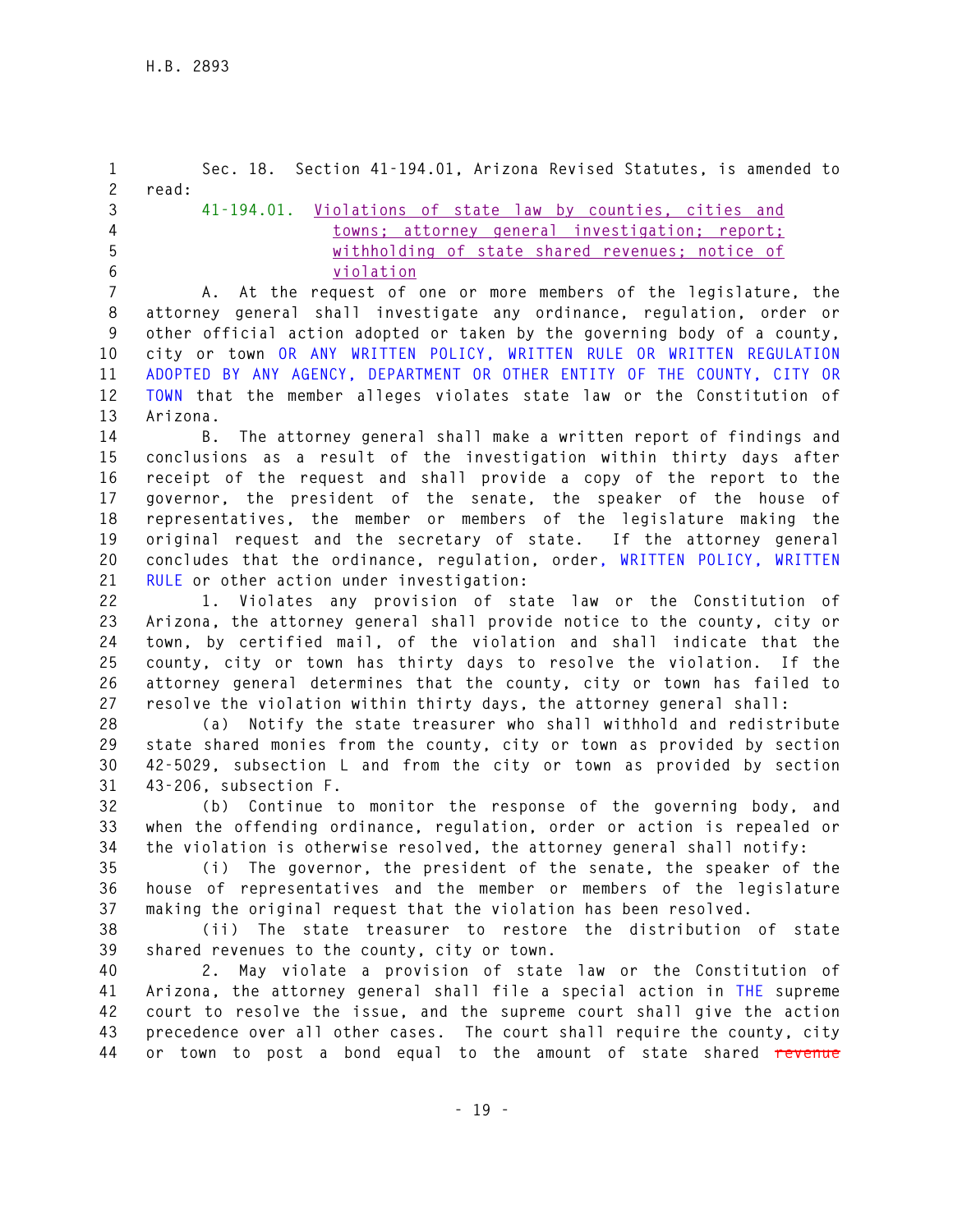| $\mathbf{1}$<br>$\mathbf{2}$ | Sec. 18. Section 41-194.01, Arizona Revised Statutes, is amended to<br>read:                                                                    |
|------------------------------|-------------------------------------------------------------------------------------------------------------------------------------------------|
| 3                            | 41-194.01. Violations of state law by counties, cities and                                                                                      |
| $\overline{\mathbf{4}}$      | towns; attorney general investigation; report;                                                                                                  |
| 5                            | withholding of state shared revenues; notice of                                                                                                 |
| 6                            | violation                                                                                                                                       |
| $\overline{7}$               | A. At the request of one or more members of the legislature, the                                                                                |
| $\, 8$                       | attorney general shall investigate any ordinance, regulation, order or                                                                          |
| 9                            | other official action adopted or taken by the governing body of a county,                                                                       |
| 10                           | city or town OR ANY WRITTEN POLICY, WRITTEN RULE OR WRITTEN REGULATION                                                                          |
| 11                           | ADOPTED BY ANY AGENCY, DEPARTMENT OR OTHER ENTITY OF THE COUNTY, CITY OR                                                                        |
| 12                           | TOWN that the member alleges violates state law or the Constitution of                                                                          |
| 13                           | Arizona.                                                                                                                                        |
| 14                           | The attorney general shall make a written report of findings and<br>В.                                                                          |
| 15                           | conclusions as a result of the investigation within thirty days after                                                                           |
| 16                           | receipt of the request and shall provide a copy of the report to the                                                                            |
| 17                           | governor, the president of the senate, the speaker of the house of                                                                              |
| 18                           | representatives, the member or members of the legislature making the                                                                            |
| 19                           | original request and the secretary of state. If the attorney general                                                                            |
| 20                           | concludes that the ordinance, regulation, order, WRITTEN POLICY, WRITTEN                                                                        |
| 21                           | RULE or other action under investigation:                                                                                                       |
| 22                           | 1. Violates any provision of state law or the Constitution of                                                                                   |
| 23                           | Arizona, the attorney general shall provide notice to the county, city or                                                                       |
| 24                           | town, by certified mail, of the violation and shall indicate that the                                                                           |
| 25                           | county, city or town has thirty days to resolve the violation.<br>If the                                                                        |
| 26                           | attorney general determines that the county, city or town has failed to                                                                         |
| 27                           | resolve the violation within thirty days, the attorney general shall:                                                                           |
| 28                           | (a) Notify the state treasurer who shall withhold and redistribute                                                                              |
| 29                           | state shared monies from the county, city or town as provided by section                                                                        |
| 30                           | 42-5029, subsection L and from the city or town as provided by section                                                                          |
| 31                           | 43-206, subsection F.                                                                                                                           |
| 32                           | (b) Continue to monitor the response of the governing body, and                                                                                 |
| 33                           | when the offending ordinance, regulation, order or action is repealed or                                                                        |
| 34                           | the violation is otherwise resolved, the attorney general shall notify:                                                                         |
| 35                           | (i) The governor, the president of the senate, the speaker of the                                                                               |
| 36                           | house of representatives and the member or members of the legislature                                                                           |
| 37                           | making the original request that the violation has been resolved.                                                                               |
| 38                           | (ii) The state treasurer to restore the distribution of state                                                                                   |
| 39                           | shared revenues to the county, city or town.                                                                                                    |
| 40                           | 2. May violate a provision of state law or the Constitution of                                                                                  |
| 41                           | Arizona, the attorney general shall file a special action in THE supreme                                                                        |
| 42                           | court to resolve the issue, and the supreme court shall give the action                                                                         |
| 43<br>44                     | precedence over all other cases. The court shall require the county, city<br>or town to post a bond equal to the amount of state shared revenue |
|                              |                                                                                                                                                 |
|                              |                                                                                                                                                 |
|                              | $-19 -$                                                                                                                                         |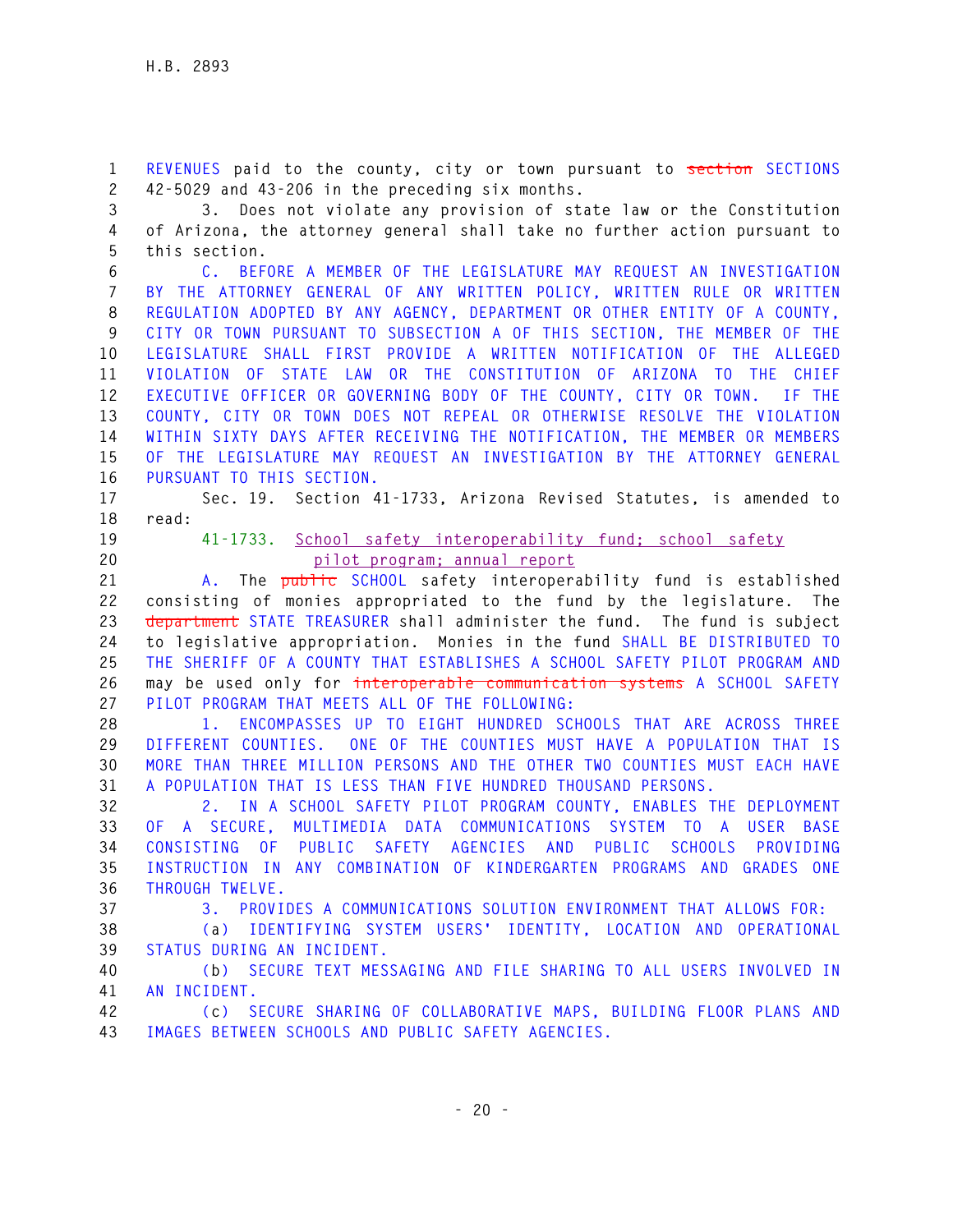**1 REVENUES paid to the county, city or town pursuant to section SECTIONS 2 42-5029 and 43-206 in the preceding six months.** 

**3 3. Does not violate any provision of state law or the Constitution 4 of Arizona, the attorney general shall take no further action pursuant to 5 this section.** 

**6 C. BEFORE A MEMBER OF THE LEGISLATURE MAY REQUEST AN INVESTIGATION 7 BY THE ATTORNEY GENERAL OF ANY WRITTEN POLICY, WRITTEN RULE OR WRITTEN 8 REGULATION ADOPTED BY ANY AGENCY, DEPARTMENT OR OTHER ENTITY OF A COUNTY, 9 CITY OR TOWN PURSUANT TO SUBSECTION A OF THIS SECTION, THE MEMBER OF THE 10 LEGISLATURE SHALL FIRST PROVIDE A WRITTEN NOTIFICATION OF THE ALLEGED 11 VIOLATION OF STATE LAW OR THE CONSTITUTION OF ARIZONA TO THE CHIEF 12 EXECUTIVE OFFICER OR GOVERNING BODY OF THE COUNTY, CITY OR TOWN. IF THE 13 COUNTY, CITY OR TOWN DOES NOT REPEAL OR OTHERWISE RESOLVE THE VIOLATION 14 WITHIN SIXTY DAYS AFTER RECEIVING THE NOTIFICATION, THE MEMBER OR MEMBERS 15 OF THE LEGISLATURE MAY REQUEST AN INVESTIGATION BY THE ATTORNEY GENERAL 16 PURSUANT TO THIS SECTION.**

**17 Sec. 19. Section 41-1733, Arizona Revised Statutes, is amended to 18 read:** 

- 
- **19 41-1733. School safety interoperability fund; school safety 20 pilot program; annual report**

**21 A. The public SCHOOL safety interoperability fund is established 22 consisting of monies appropriated to the fund by the legislature. The 23 department STATE TREASURER shall administer the fund. The fund is subject 24 to legislative appropriation. Monies in the fund SHALL BE DISTRIBUTED TO 25 THE SHERIFF OF A COUNTY THAT ESTABLISHES A SCHOOL SAFETY PILOT PROGRAM AND 26 may be used only for interoperable communication systems A SCHOOL SAFETY 27 PILOT PROGRAM THAT MEETS ALL OF THE FOLLOWING:** 

**28 1. ENCOMPASSES UP TO EIGHT HUNDRED SCHOOLS THAT ARE ACROSS THREE 29 DIFFERENT COUNTIES. ONE OF THE COUNTIES MUST HAVE A POPULATION THAT IS 30 MORE THAN THREE MILLION PERSONS AND THE OTHER TWO COUNTIES MUST EACH HAVE 31 A POPULATION THAT IS LESS THAN FIVE HUNDRED THOUSAND PERSONS.** 

**32 2. IN A SCHOOL SAFETY PILOT PROGRAM COUNTY, ENABLES THE DEPLOYMENT 33 OF A SECURE, MULTIMEDIA DATA COMMUNICATIONS SYSTEM TO A USER BASE 34 CONSISTING OF PUBLIC SAFETY AGENCIES AND PUBLIC SCHOOLS PROVIDING 35 INSTRUCTION IN ANY COMBINATION OF KINDERGARTEN PROGRAMS AND GRADES ONE 36 THROUGH TWELVE.** 

**37 3. PROVIDES A COMMUNICATIONS SOLUTION ENVIRONMENT THAT ALLOWS FOR:** 

**38 (a) IDENTIFYING SYSTEM USERS' IDENTITY, LOCATION AND OPERATIONAL 39 STATUS DURING AN INCIDENT.** 

**40 (b) SECURE TEXT MESSAGING AND FILE SHARING TO ALL USERS INVOLVED IN 41 AN INCIDENT.** 

**42 (c) SECURE SHARING OF COLLABORATIVE MAPS, BUILDING FLOOR PLANS AND 43 IMAGES BETWEEN SCHOOLS AND PUBLIC SAFETY AGENCIES.**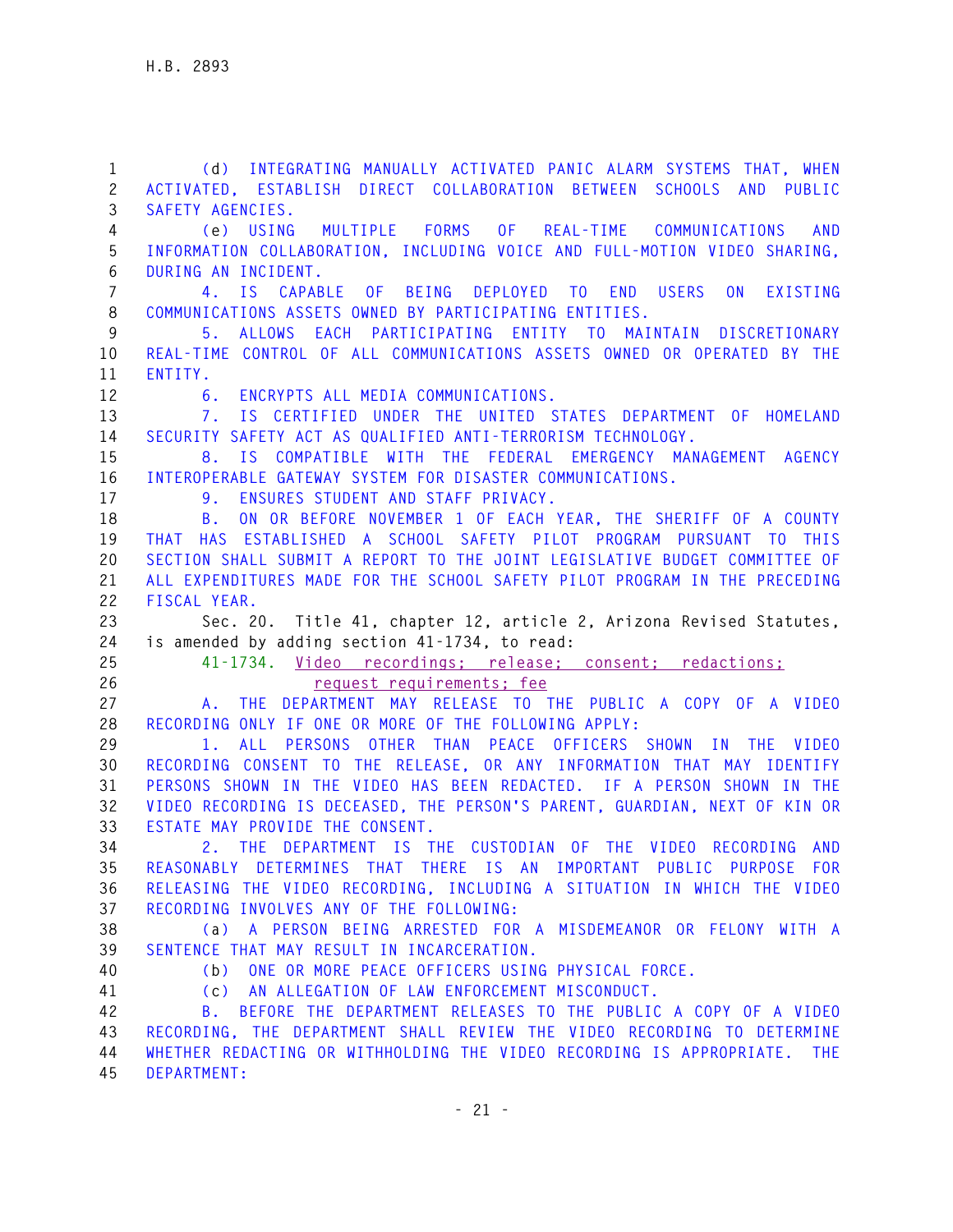**1 (d) INTEGRATING MANUALLY ACTIVATED PANIC ALARM SYSTEMS THAT, WHEN 2 ACTIVATED, ESTABLISH DIRECT COLLABORATION BETWEEN SCHOOLS AND PUBLIC 3 SAFETY AGENCIES. 4 (e) USING MULTIPLE FORMS OF REAL-TIME COMMUNICATIONS AND 5 INFORMATION COLLABORATION, INCLUDING VOICE AND FULL-MOTION VIDEO SHARING, 6 DURING AN INCIDENT. 7 4. IS CAPABLE OF BEING DEPLOYED TO END USERS ON EXISTING 8 COMMUNICATIONS ASSETS OWNED BY PARTICIPATING ENTITIES. 9 5. ALLOWS EACH PARTICIPATING ENTITY TO MAINTAIN DISCRETIONARY 10 REAL-TIME CONTROL OF ALL COMMUNICATIONS ASSETS OWNED OR OPERATED BY THE 11 ENTITY. 12 6. ENCRYPTS ALL MEDIA COMMUNICATIONS. 13 7. IS CERTIFIED UNDER THE UNITED STATES DEPARTMENT OF HOMELAND 14 SECURITY SAFETY ACT AS QUALIFIED ANTI-TERRORISM TECHNOLOGY. 15 8. IS COMPATIBLE WITH THE FEDERAL EMERGENCY MANAGEMENT AGENCY 16 INTEROPERABLE GATEWAY SYSTEM FOR DISASTER COMMUNICATIONS. 17 9. ENSURES STUDENT AND STAFF PRIVACY. 18 B. ON OR BEFORE NOVEMBER 1 OF EACH YEAR, THE SHERIFF OF A COUNTY 19 THAT HAS ESTABLISHED A SCHOOL SAFETY PILOT PROGRAM PURSUANT TO THIS 20 SECTION SHALL SUBMIT A REPORT TO THE JOINT LEGISLATIVE BUDGET COMMITTEE OF 21 ALL EXPENDITURES MADE FOR THE SCHOOL SAFETY PILOT PROGRAM IN THE PRECEDING 22 FISCAL YEAR. 23 Sec. 20. Title 41, chapter 12, article 2, Arizona Revised Statutes, 24 is amended by adding section 41-1734, to read: 25 41-1734. Video recordings; release; consent; redactions; 26 request requirements; fee 27 A. THE DEPARTMENT MAY RELEASE TO THE PUBLIC A COPY OF A VIDEO 28 RECORDING ONLY IF ONE OR MORE OF THE FOLLOWING APPLY: 29 1. ALL PERSONS OTHER THAN PEACE OFFICERS SHOWN IN THE VIDEO 30 RECORDING CONSENT TO THE RELEASE, OR ANY INFORMATION THAT MAY IDENTIFY 31 PERSONS SHOWN IN THE VIDEO HAS BEEN REDACTED. IF A PERSON SHOWN IN THE 32 VIDEO RECORDING IS DECEASED, THE PERSON'S PARENT, GUARDIAN, NEXT OF KIN OR 33 ESTATE MAY PROVIDE THE CONSENT. 34 2. THE DEPARTMENT IS THE CUSTODIAN OF THE VIDEO RECORDING AND 35 REASONABLY DETERMINES THAT THERE IS AN IMPORTANT PUBLIC PURPOSE FOR 36 RELEASING THE VIDEO RECORDING, INCLUDING A SITUATION IN WHICH THE VIDEO 37 RECORDING INVOLVES ANY OF THE FOLLOWING: 38 (a) A PERSON BEING ARRESTED FOR A MISDEMEANOR OR FELONY WITH A 39 SENTENCE THAT MAY RESULT IN INCARCERATION. 40 (b) ONE OR MORE PEACE OFFICERS USING PHYSICAL FORCE. 41 (c) AN ALLEGATION OF LAW ENFORCEMENT MISCONDUCT. 42 B. BEFORE THE DEPARTMENT RELEASES TO THE PUBLIC A COPY OF A VIDEO 43 RECORDING, THE DEPARTMENT SHALL REVIEW THE VIDEO RECORDING TO DETERMINE 44 WHETHER REDACTING OR WITHHOLDING THE VIDEO RECORDING IS APPROPRIATE. THE 45 DEPARTMENT:**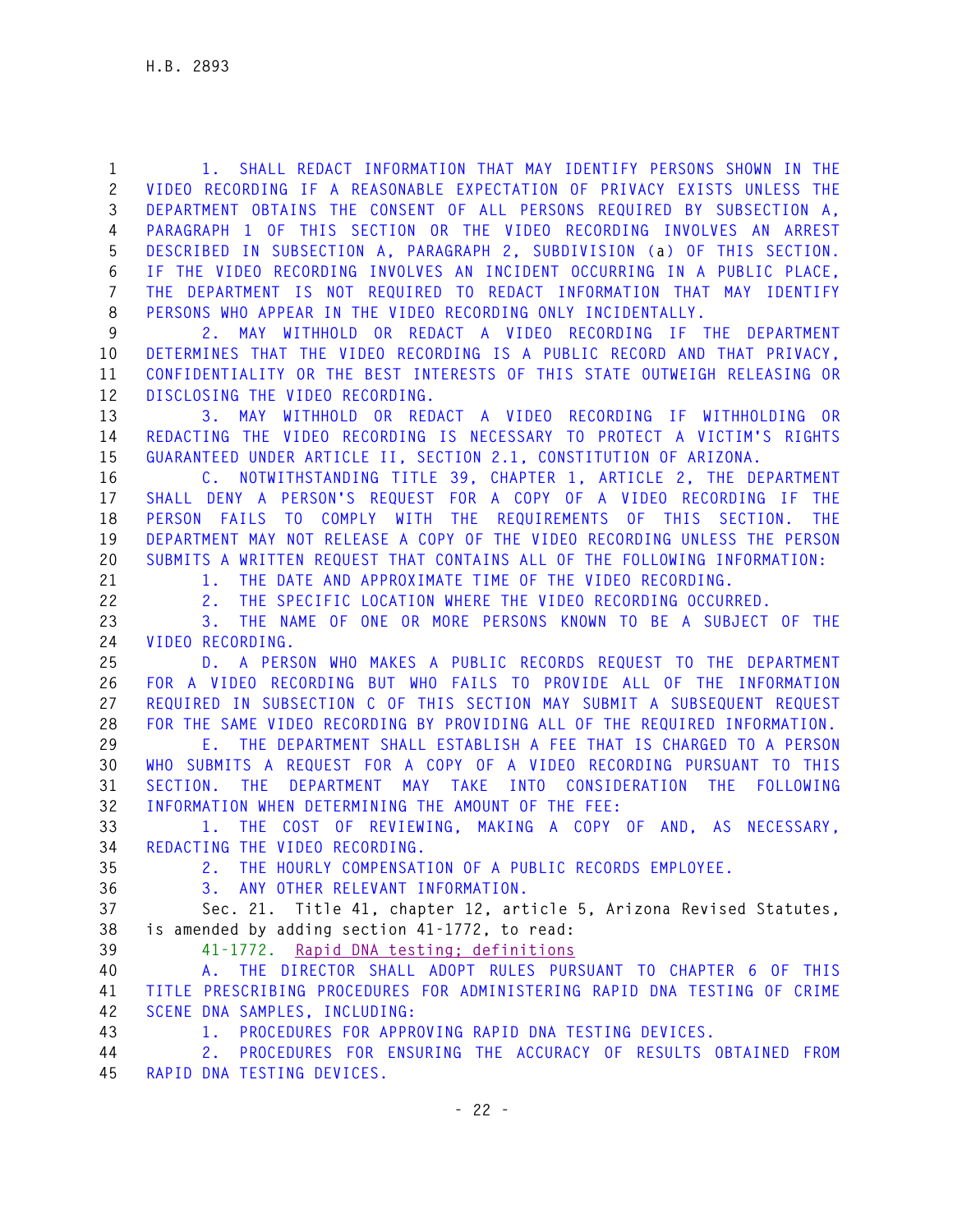**1 1. SHALL REDACT INFORMATION THAT MAY IDENTIFY PERSONS SHOWN IN THE 2 VIDEO RECORDING IF A REASONABLE EXPECTATION OF PRIVACY EXISTS UNLESS THE 3 DEPARTMENT OBTAINS THE CONSENT OF ALL PERSONS REQUIRED BY SUBSECTION A, 4 PARAGRAPH 1 OF THIS SECTION OR THE VIDEO RECORDING INVOLVES AN ARREST 5 DESCRIBED IN SUBSECTION A, PARAGRAPH 2, SUBDIVISION (a) OF THIS SECTION. 6 IF THE VIDEO RECORDING INVOLVES AN INCIDENT OCCURRING IN A PUBLIC PLACE, 7 THE DEPARTMENT IS NOT REQUIRED TO REDACT INFORMATION THAT MAY IDENTIFY 8 PERSONS WHO APPEAR IN THE VIDEO RECORDING ONLY INCIDENTALLY. 9 2. MAY WITHHOLD OR REDACT A VIDEO RECORDING IF THE DEPARTMENT 10 DETERMINES THAT THE VIDEO RECORDING IS A PUBLIC RECORD AND THAT PRIVACY, 11 CONFIDENTIALITY OR THE BEST INTERESTS OF THIS STATE OUTWEIGH RELEASING OR 12 DISCLOSING THE VIDEO RECORDING. 13 3. MAY WITHHOLD OR REDACT A VIDEO RECORDING IF WITHHOLDING OR 14 REDACTING THE VIDEO RECORDING IS NECESSARY TO PROTECT A VICTIM'S RIGHTS 15 GUARANTEED UNDER ARTICLE II, SECTION 2.1, CONSTITUTION OF ARIZONA. 16 C. NOTWITHSTANDING TITLE 39, CHAPTER 1, ARTICLE 2, THE DEPARTMENT 17 SHALL DENY A PERSON'S REQUEST FOR A COPY OF A VIDEO RECORDING IF THE 18 PERSON FAILS TO COMPLY WITH THE REQUIREMENTS OF THIS SECTION. THE 19 DEPARTMENT MAY NOT RELEASE A COPY OF THE VIDEO RECORDING UNLESS THE PERSON 20 SUBMITS A WRITTEN REQUEST THAT CONTAINS ALL OF THE FOLLOWING INFORMATION: 21 1. THE DATE AND APPROXIMATE TIME OF THE VIDEO RECORDING. 22 2. THE SPECIFIC LOCATION WHERE THE VIDEO RECORDING OCCURRED. 23 3. THE NAME OF ONE OR MORE PERSONS KNOWN TO BE A SUBJECT OF THE 24 VIDEO RECORDING. 25 D. A PERSON WHO MAKES A PUBLIC RECORDS REQUEST TO THE DEPARTMENT 26 FOR A VIDEO RECORDING BUT WHO FAILS TO PROVIDE ALL OF THE INFORMATION 27 REQUIRED IN SUBSECTION C OF THIS SECTION MAY SUBMIT A SUBSEQUENT REQUEST 28 FOR THE SAME VIDEO RECORDING BY PROVIDING ALL OF THE REQUIRED INFORMATION. 29 E. THE DEPARTMENT SHALL ESTABLISH A FEE THAT IS CHARGED TO A PERSON 30 WHO SUBMITS A REQUEST FOR A COPY OF A VIDEO RECORDING PURSUANT TO THIS 31 SECTION. THE DEPARTMENT MAY TAKE INTO CONSIDERATION THE FOLLOWING 32 INFORMATION WHEN DETERMINING THE AMOUNT OF THE FEE: 33 1. THE COST OF REVIEWING, MAKING A COPY OF AND, AS NECESSARY, 34 REDACTING THE VIDEO RECORDING. 35 2. THE HOURLY COMPENSATION OF A PUBLIC RECORDS EMPLOYEE. 36 3. ANY OTHER RELEVANT INFORMATION. 37 Sec. 21. Title 41, chapter 12, article 5, Arizona Revised Statutes, 38 is amended by adding section 41-1772, to read: 39 41-1772. Rapid DNA testing; definitions 40 A. THE DIRECTOR SHALL ADOPT RULES PURSUANT TO CHAPTER 6 OF THIS 41 TITLE PRESCRIBING PROCEDURES FOR ADMINISTERING RAPID DNA TESTING OF CRIME 42 SCENE DNA SAMPLES, INCLUDING: 43 1. PROCEDURES FOR APPROVING RAPID DNA TESTING DEVICES. 44 2. PROCEDURES FOR ENSURING THE ACCURACY OF RESULTS OBTAINED FROM 45 RAPID DNA TESTING DEVICES.**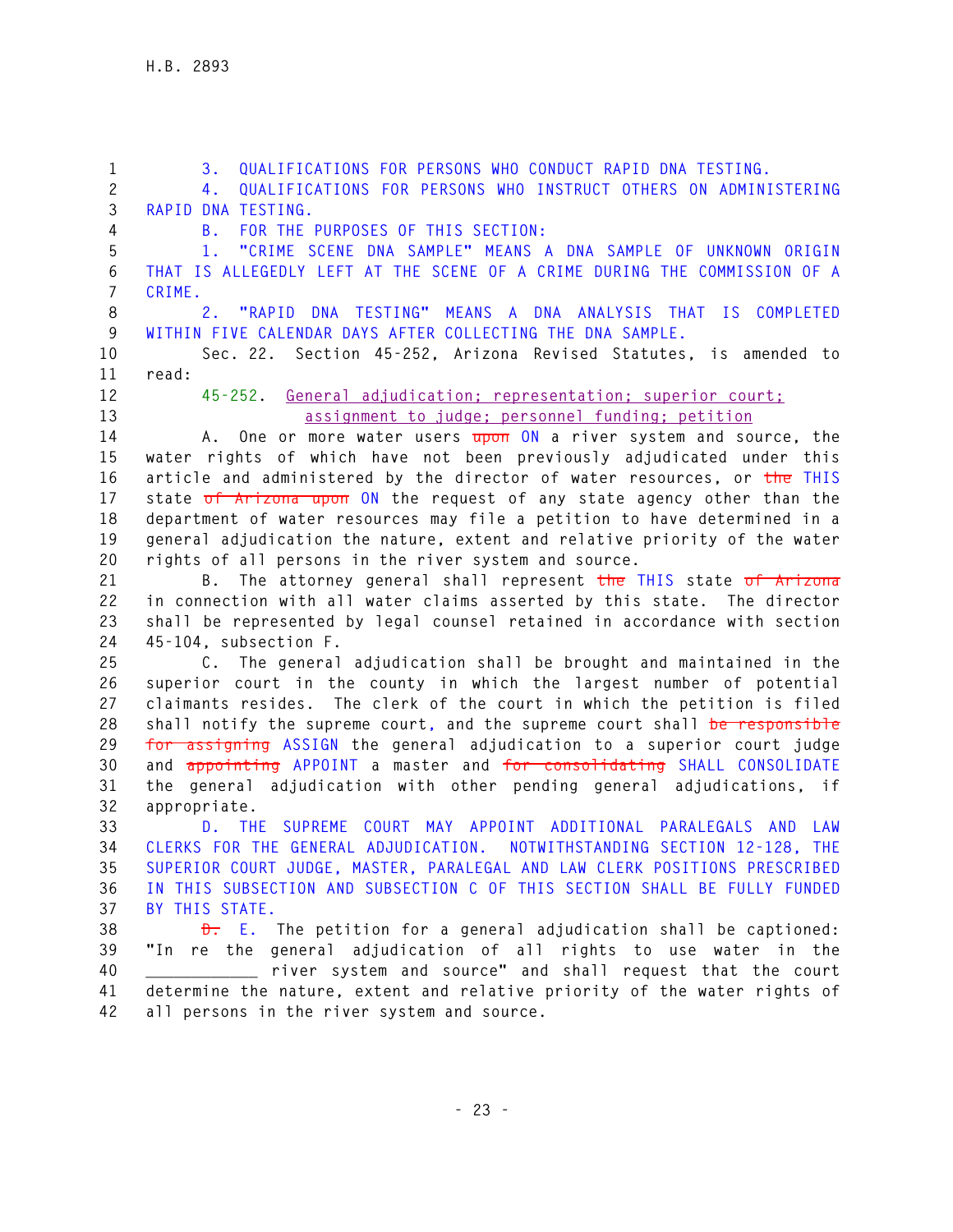**1 3. QUALIFICATIONS FOR PERSONS WHO CONDUCT RAPID DNA TESTING. 2 4. QUALIFICATIONS FOR PERSONS WHO INSTRUCT OTHERS ON ADMINISTERING 3 RAPID DNA TESTING. 4 B. FOR THE PURPOSES OF THIS SECTION: 5 1. "CRIME SCENE DNA SAMPLE" MEANS A DNA SAMPLE OF UNKNOWN ORIGIN 6 THAT IS ALLEGEDLY LEFT AT THE SCENE OF A CRIME DURING THE COMMISSION OF A 7 CRIME. 8 2. "RAPID DNA TESTING" MEANS A DNA ANALYSIS THAT IS COMPLETED 9 WITHIN FIVE CALENDAR DAYS AFTER COLLECTING THE DNA SAMPLE. 10 Sec. 22. Section 45-252, Arizona Revised Statutes, is amended to 11 read: 12 45-252. General adjudication; representation; superior court; 13 assignment to judge; personnel funding; petition 14 A. One or more water users upon ON a river system and source, the 15 water rights of which have not been previously adjudicated under this 16 article and administered by the director of water resources, or the THIS 17 state of Arizona upon ON the request of any state agency other than the 18 department of water resources may file a petition to have determined in a 19 general adjudication the nature, extent and relative priority of the water 20 rights of all persons in the river system and source. 21 B. The attorney general shall represent the THIS state of Arizona 22 in connection with all water claims asserted by this state. The director 23 shall be represented by legal counsel retained in accordance with section 24 45-104, subsection F. 25 C. The general adjudication shall be brought and maintained in the 26 superior court in the county in which the largest number of potential 27 claimants resides. The clerk of the court in which the petition is filed 28 shall notify the supreme court, and the supreme court shall be responsible 29 for assigning ASSIGN the general adjudication to a superior court judge 30 and appointing APPOINT a master and for consolidating SHALL CONSOLIDATE 31 the general adjudication with other pending general adjudications, if 32 appropriate. 33 D. THE SUPREME COURT MAY APPOINT ADDITIONAL PARALEGALS AND LAW 34 CLERKS FOR THE GENERAL ADJUDICATION. NOTWITHSTANDING SECTION 12-128, THE 35 SUPERIOR COURT JUDGE, MASTER, PARALEGAL AND LAW CLERK POSITIONS PRESCRIBED 36 IN THIS SUBSECTION AND SUBSECTION C OF THIS SECTION SHALL BE FULLY FUNDED 37 BY THIS STATE. 38 D. E. The petition for a general adjudication shall be captioned: 39 "In re the general adjudication of all rights to use water in the 40 \_\_\_\_\_\_\_\_\_\_\_\_ river system and source" and shall request that the court 41 determine the nature, extent and relative priority of the water rights of 42 all persons in the river system and source.**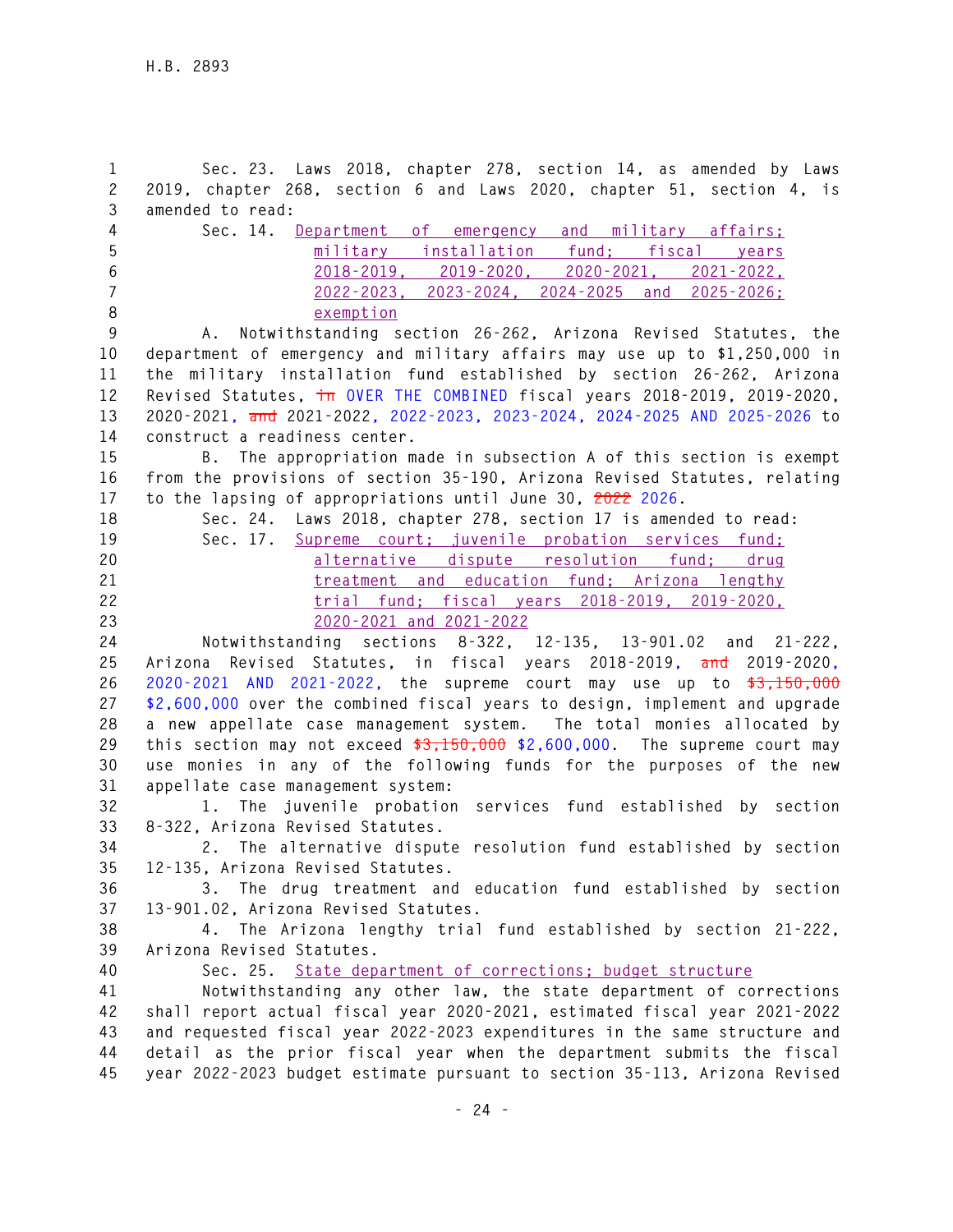**1 Sec. 23. Laws 2018, chapter 278, section 14, as amended by Laws 2 2019, chapter 268, section 6 and Laws 2020, chapter 51, section 4, is 3 amended to read: 4 Sec. 14. Department of emergency and military affairs; 5 military installation fund; fiscal years 6 2018-2019, 2019-2020, 2020-2021, 2021-2022, 7 2022-2023, 2023-2024, 2024-2025 and 2025-2026; 8 exemption 9 A. Notwithstanding section 26-262, Arizona Revised Statutes, the 10 department of emergency and military affairs may use up to \$1,250,000 in 11 the military installation fund established by section 26-262, Arizona 12 Revised Statutes, in OVER THE COMBINED fiscal years 2018-2019, 2019-2020, 13 2020-2021, and 2021-2022, 2022-2023, 2023-2024, 2024-2025 AND 2025-2026 to 14 construct a readiness center. 15 B. The appropriation made in subsection A of this section is exempt 16 from the provisions of section 35-190, Arizona Revised Statutes, relating 17 to the lapsing of appropriations until June 30, 2022 2026. 18 Sec. 24. Laws 2018, chapter 278, section 17 is amended to read: 19 Sec. 17. Supreme court; juvenile probation services fund; 20 alternative dispute resolution fund; drug 21 treatment and education fund; Arizona lengthy 22 trial fund; fiscal years 2018-2019, 2019-2020, 23 2020-2021 and 2021-2022 24 Notwithstanding sections 8-322, 12-135, 13-901.02 and 21-222, 25 Arizona Revised Statutes, in fiscal years 2018-2019, and 2019-2020, 26 2020-2021 AND 2021-2022, the supreme court may use up to \$3,150,000 27 \$2,600,000 over the combined fiscal years to design, implement and upgrade 28 a new appellate case management system. The total monies allocated by 29 this section may not exceed \$3,150,000 \$2,600,000. The supreme court may 30 use monies in any of the following funds for the purposes of the new 31 appellate case management system: 32 1. The juvenile probation services fund established by section 33 8-322, Arizona Revised Statutes. 34 2. The alternative dispute resolution fund established by section 35 12-135, Arizona Revised Statutes. 36 3. The drug treatment and education fund established by section 37 13-901.02, Arizona Revised Statutes. 38 4. The Arizona lengthy trial fund established by section 21-222, 39 Arizona Revised Statutes. 40 Sec. 25. State department of corrections; budget structure 41 Notwithstanding any other law, the state department of corrections 42 shall report actual fiscal year 2020-2021, estimated fiscal year 2021-2022 43 and requested fiscal year 2022-2023 expenditures in the same structure and 44 detail as the prior fiscal year when the department submits the fiscal 45 year 2022-2023 budget estimate pursuant to section 35-113, Arizona Revised**